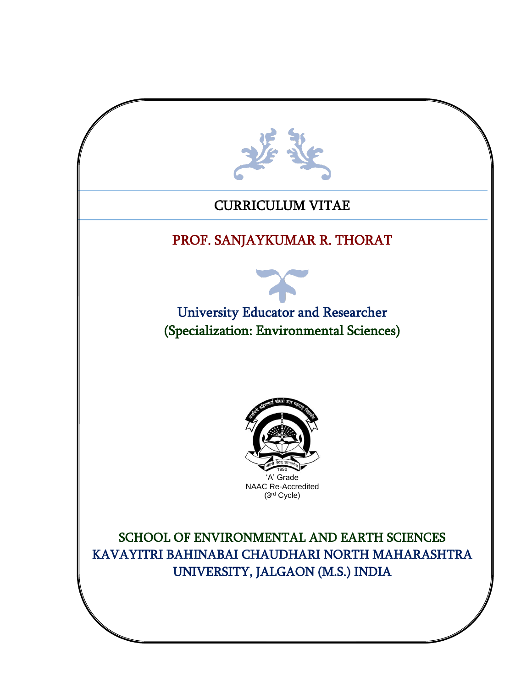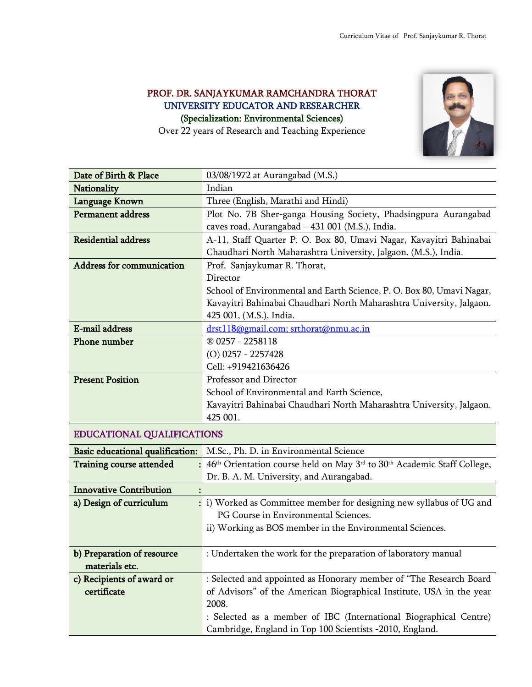## PROF. DR. SANJAYKUMAR RAMCHANDRA THORAT UNIVERSITY EDUCATOR AND RESEARCHER (Specialization: Environmental Sciences)



Over 22 years of Research and Teaching Experience

| Date of Birth & Place            | 03/08/1972 at Aurangabad (M.S.)                                                                             |  |  |  |  |  |
|----------------------------------|-------------------------------------------------------------------------------------------------------------|--|--|--|--|--|
| Nationality                      | Indian                                                                                                      |  |  |  |  |  |
| Language Known                   | Three (English, Marathi and Hindi)                                                                          |  |  |  |  |  |
| Permanent address                | Plot No. 7B Sher-ganga Housing Society, Phadsingpura Aurangabad                                             |  |  |  |  |  |
|                                  | caves road, Aurangabad - 431 001 (M.S.), India.                                                             |  |  |  |  |  |
| <b>Residential address</b>       | A-11, Staff Quarter P. O. Box 80, Umavi Nagar, Kavayitri Bahinabai                                          |  |  |  |  |  |
|                                  | Chaudhari North Maharashtra University, Jalgaon. (M.S.), India.                                             |  |  |  |  |  |
| Address for communication        | Prof. Sanjaykumar R. Thorat,                                                                                |  |  |  |  |  |
|                                  | Director                                                                                                    |  |  |  |  |  |
|                                  | School of Environmental and Earth Science, P. O. Box 80, Umavi Nagar,                                       |  |  |  |  |  |
|                                  | Kavayitri Bahinabai Chaudhari North Maharashtra University, Jalgaon.                                        |  |  |  |  |  |
|                                  | 425 001, (M.S.), India.                                                                                     |  |  |  |  |  |
| E-mail address                   | drst118@gmail.com; srthorat@nmu.ac.in                                                                       |  |  |  |  |  |
| Phone number                     | ® 0257 - 2258118                                                                                            |  |  |  |  |  |
|                                  | $(O)$ 0257 - 2257428                                                                                        |  |  |  |  |  |
|                                  | Cell: +919421636426                                                                                         |  |  |  |  |  |
| <b>Present Position</b>          | Professor and Director                                                                                      |  |  |  |  |  |
|                                  | School of Environmental and Earth Science,                                                                  |  |  |  |  |  |
|                                  | Kavayitri Bahinabai Chaudhari North Maharashtra University, Jalgaon.                                        |  |  |  |  |  |
|                                  | 425 001.                                                                                                    |  |  |  |  |  |
| EDUCATIONAL QUALIFICATIONS       |                                                                                                             |  |  |  |  |  |
| Basic educational qualification: | M.Sc., Ph. D. in Environmental Science                                                                      |  |  |  |  |  |
| <b>Training course attended</b>  | 46 <sup>th</sup> Orientation course held on May 3 <sup>rd</sup> to 30 <sup>th</sup> Academic Staff College, |  |  |  |  |  |
|                                  | Dr. B. A. M. University, and Aurangabad.                                                                    |  |  |  |  |  |
| <b>Innovative Contribution</b>   |                                                                                                             |  |  |  |  |  |
| a) Design of curriculum          | i) Worked as Committee member for designing new syllabus of UG and                                          |  |  |  |  |  |
|                                  | PG Course in Environmental Sciences.                                                                        |  |  |  |  |  |
|                                  | ii) Working as BOS member in the Environmental Sciences.                                                    |  |  |  |  |  |
|                                  |                                                                                                             |  |  |  |  |  |
| b) Preparation of resource       | : Undertaken the work for the preparation of laboratory manual                                              |  |  |  |  |  |
| materials etc.                   |                                                                                                             |  |  |  |  |  |
| c) Recipients of award or        | : Selected and appointed as Honorary member of "The Research Board                                          |  |  |  |  |  |
| certificate                      | of Advisors" of the American Biographical Institute, USA in the year                                        |  |  |  |  |  |
|                                  | 2008.                                                                                                       |  |  |  |  |  |
|                                  | : Selected as a member of IBC (International Biographical Centre)                                           |  |  |  |  |  |
|                                  | Cambridge, England in Top 100 Scientists -2010, England.                                                    |  |  |  |  |  |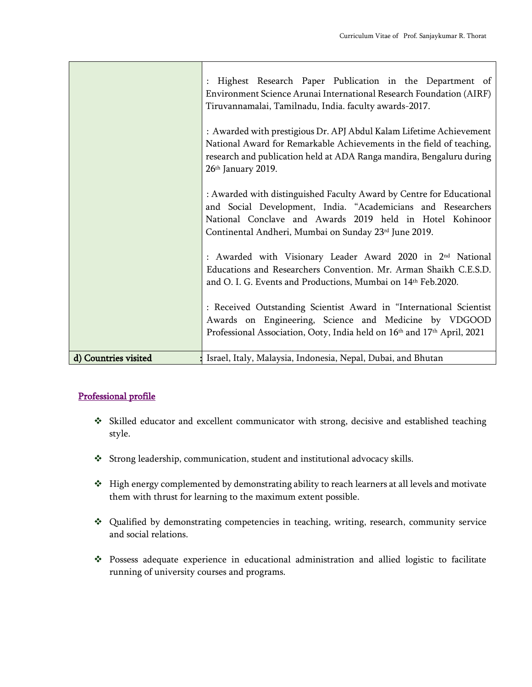|                      | Highest Research Paper Publication in the Department of<br>Environment Science Arunai International Research Foundation (AIRF)<br>Tiruvannamalai, Tamilnadu, India. faculty awards-2017.                                                                                                                                                                                                                                                                                 |  |  |  |  |  |  |
|----------------------|--------------------------------------------------------------------------------------------------------------------------------------------------------------------------------------------------------------------------------------------------------------------------------------------------------------------------------------------------------------------------------------------------------------------------------------------------------------------------|--|--|--|--|--|--|
|                      | : Awarded with prestigious Dr. APJ Abdul Kalam Lifetime Achievement<br>National Award for Remarkable Achievements in the field of teaching,<br>research and publication held at ADA Ranga mandira, Bengaluru during<br>26th January 2019.                                                                                                                                                                                                                                |  |  |  |  |  |  |
|                      | : Awarded with distinguished Faculty Award by Centre for Educational<br>and Social Development, India. "Academicians and Researchers<br>National Conclave and Awards 2019 held in Hotel Kohinoor<br>Continental Andheri, Mumbai on Sunday 23rd June 2019.<br>: Awarded with Visionary Leader Award 2020 in 2 <sup>nd</sup> National<br>Educations and Researchers Convention. Mr. Arman Shaikh C.E.S.D.<br>and O. I. G. Events and Productions, Mumbai on 14th Feb.2020. |  |  |  |  |  |  |
|                      |                                                                                                                                                                                                                                                                                                                                                                                                                                                                          |  |  |  |  |  |  |
|                      | : Received Outstanding Scientist Award in "International Scientist<br>Awards on Engineering, Science and Medicine by VDGOOD<br>Professional Association, Ooty, India held on 16th and 17th April, 2021                                                                                                                                                                                                                                                                   |  |  |  |  |  |  |
| d) Countries visited | Israel, Italy, Malaysia, Indonesia, Nepal, Dubai, and Bhutan                                                                                                                                                                                                                                                                                                                                                                                                             |  |  |  |  |  |  |

### Professional profile

- ❖ Skilled educator and excellent communicator with strong, decisive and established teaching style.
- ❖ Strong leadership, communication, student and institutional advocacy skills.
- ❖ High energy complemented by demonstrating ability to reach learners at all levels and motivate them with thrust for learning to the maximum extent possible.
- ❖ Qualified by demonstrating competencies in teaching, writing, research, community service and social relations.
- ❖ Possess adequate experience in educational administration and allied logistic to facilitate running of university courses and programs.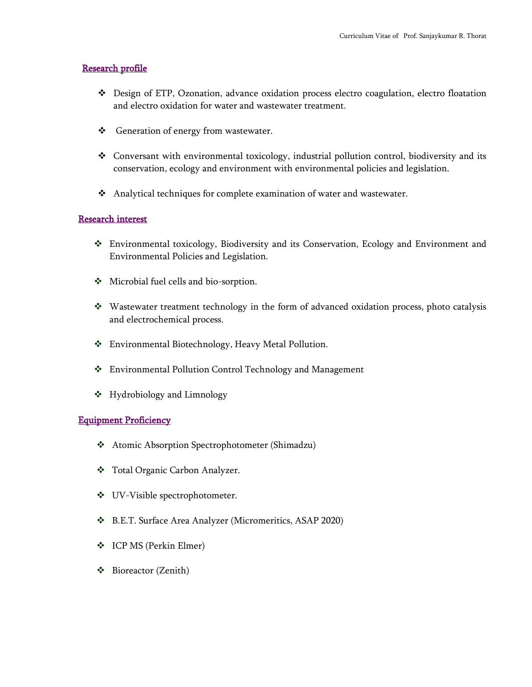#### Research profile

- ❖ Design of ETP, Ozonation, advance oxidation process electro coagulation, electro floatation and electro oxidation for water and wastewater treatment.
- ❖ Generation of energy from wastewater.
- ❖ Conversant with environmental toxicology, industrial pollution control, biodiversity and its conservation, ecology and environment with environmental policies and legislation.
- ❖ Analytical techniques for complete examination of water and wastewater.

#### Research interest

- ❖ Environmental toxicology, Biodiversity and its Conservation, Ecology and Environment and Environmental Policies and Legislation.
- ❖ Microbial fuel cells and bio-sorption.
- ❖ Wastewater treatment technology in the form of advanced oxidation process, photo catalysis and electrochemical process.
- ❖ Environmental Biotechnology, Heavy Metal Pollution.
- ❖ Environmental Pollution Control Technology and Management
- ❖ Hydrobiology and Limnology

#### Equipment Proficiency

- ❖ Atomic Absorption Spectrophotometer (Shimadzu)
- ❖ Total Organic Carbon Analyzer.
- ❖ UV-Visible spectrophotometer.
- ❖ B.E.T. Surface Area Analyzer (Micromeritics, ASAP 2020)
- ❖ ICP MS (Perkin Elmer)
- ❖ Bioreactor (Zenith)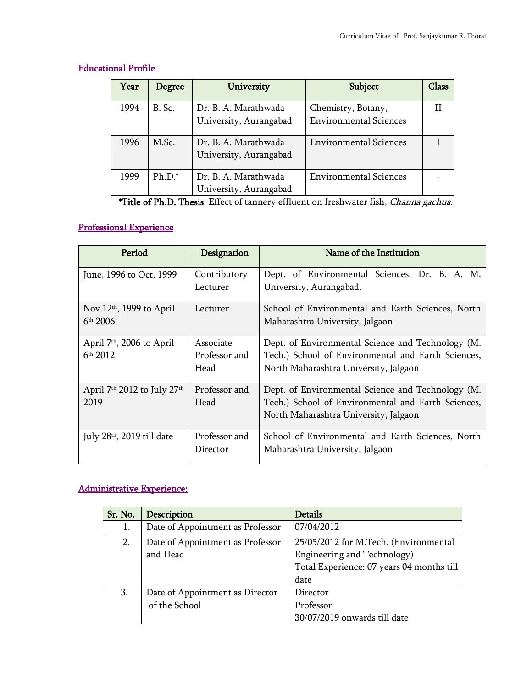| Year | Degree   | University             | Subject                       | Class |
|------|----------|------------------------|-------------------------------|-------|
| 1994 | B. Sc.   | Dr. B. A. Marathwada   | Chemistry, Botany,            |       |
|      |          | University, Aurangabad | <b>Environmental Sciences</b> |       |
| 1996 | M.Sc.    | Dr. B. A. Marathwada   | <b>Environmental Sciences</b> |       |
|      |          | University, Aurangabad |                               |       |
| 1999 | $Ph.D.*$ | Dr. B. A. Marathwada   | <b>Environmental Sciences</b> |       |
|      |          | University, Aurangabad |                               |       |

### Educational Profile

\*Title of Ph.D. Thesis: Effect of tannery effluent on freshwater fish, Channa gachua.

# Professional Experience

| Period                                | Designation              | Name of the Institution                                                  |  |  |  |
|---------------------------------------|--------------------------|--------------------------------------------------------------------------|--|--|--|
| June, 1996 to Oct, 1999               | Contributory<br>Lecturer | Dept. of Environmental Sciences, Dr. B. A. M.<br>University, Aurangabad. |  |  |  |
|                                       |                          |                                                                          |  |  |  |
| Nov.12 <sup>th</sup> , 1999 to April  | Lecturer                 | School of Environmental and Earth Sciences, North                        |  |  |  |
| $6th$ 2006                            |                          | Maharashtra University, Jalgaon                                          |  |  |  |
| April 7 <sup>th</sup> , 2006 to April | Associate                | Dept. of Environmental Science and Technology (M.                        |  |  |  |
| 6 <sup>th</sup> 2012                  | Professor and            | Tech.) School of Environmental and Earth Sciences,                       |  |  |  |
|                                       | Head                     | North Maharashtra University, Jalgaon                                    |  |  |  |
| April 7th 2012 to July 27th           | Professor and            | Dept. of Environmental Science and Technology (M.                        |  |  |  |
| 2019                                  | Head                     | Tech.) School of Environmental and Earth Sciences,                       |  |  |  |
|                                       |                          | North Maharashtra University, Jalgaon                                    |  |  |  |
| July 28th, 2019 till date             | Professor and            | School of Environmental and Earth Sciences, North                        |  |  |  |
|                                       | Director                 | Maharashtra University, Jalgaon                                          |  |  |  |

## Administrative Experience:

| Sr. No. | Description                                      | <b>Details</b>                                                                                                            |
|---------|--------------------------------------------------|---------------------------------------------------------------------------------------------------------------------------|
| 1.      | Date of Appointment as Professor                 | 07/04/2012                                                                                                                |
| 2.      | Date of Appointment as Professor<br>and Head     | 25/05/2012 for M.Tech. (Environmental<br>Engineering and Technology)<br>Total Experience: 07 years 04 months till<br>date |
| 3.      | Date of Appointment as Director<br>of the School | Director<br>Professor<br>30/07/2019 onwards till date                                                                     |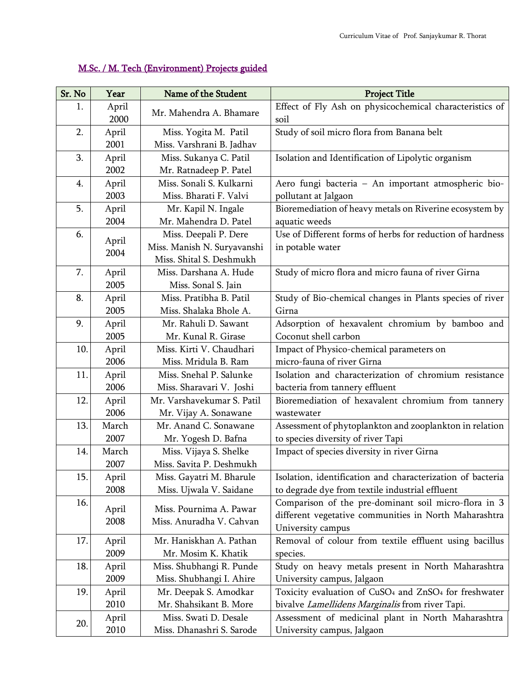#### Sr. No Year Name of the Student New Yoject Title 1. April April Mr. Mahendra A. Bhamare Effect of Fly Ash on physicochemical characteristics of soil soil 2. April 2001 Miss. Yogita M. Patil Miss. Varshrani B. Jadhav Study of soil micro flora from Banana belt 3. April 2002 Miss. Sukanya C. Patil Mr. Ratnadeep P. Patel Isolation and Identification of Lipolytic organism 4. April 2003 Miss. Sonali S. Kulkarni Miss. Bharati F. Valvi Aero fungi bacteria – An important atmospheric biopollutant at Jalgaon 5. April 2004 Mr. Kapil N. Ingale Mr. Mahendra D. Patel Bioremediation of heavy metals on Riverine ecosystem by aquatic weeds 6.  $\overrightarrow{April}$ 2004 Miss. Deepali P. Dere Miss. Manish N. Suryavanshi Miss. Shital S. Deshmukh Use of Different forms of herbs for reduction of hardness in potable water 7. April 2005 Miss. Darshana A. Hude Miss. Sonal S. Jain Study of micro flora and micro fauna of river Girna 8. April 2005 Miss. Pratibha B. Patil Miss. Shalaka Bhole A. Study of Bio-chemical changes in Plants species of river Girna 9. April 2005 Mr. Rahuli D. Sawant Mr. Kunal R. Girase Adsorption of hexavalent chromium by bamboo and Coconut shell carbon 10. April 2006 Miss. Kirti V. Chaudhari Miss. Mridula B. Ram Impact of Physico-chemical parameters on micro-fauna of river Girna 11. April 2006 Miss. Snehal P. Salunke Miss. Sharavari V. Joshi Isolation and characterization of chromium resistance bacteria from tannery effluent 12. April 2006 Mr. Varshavekumar S. Patil Mr. Vijay A. Sonawane Bioremediation of hexavalent chromium from tannery wastewater 13. March 2007 Mr. Anand C. Sonawane Mr. Yogesh D. Bafna Assessment of phytoplankton and zooplankton in relation to species diversity of river Tapi 14. March 2007 Miss. Vijaya S. Shelke Miss. Savita P. Deshmukh Impact of species diversity in river Girna 15. April 2008 Miss. Gayatri M. Bharule Miss. Ujwala V. Saidane Isolation, identification and characterization of bacteria to degrade dye from textile industrial effluent 16. April 2008 Miss. Pournima A. Pawar Miss. Anuradha V. Cahvan Comparison of the pre-dominant soil micro-flora in 3 different vegetative communities in North Maharashtra University campus 17. April 2009 Mr. Haniskhan A. Pathan Mr. Mosim K. Khatik Removal of colour from textile effluent using bacillus species. 18. April 2009 Miss. Shubhangi R. Punde Miss. Shubhangi I. Ahire Study on heavy metals present in North Maharashtra University campus, Jalgaon 19. April 2010 Mr. Deepak S. Amodkar Mr. Shahsikant B. More Toxicity evaluation of CuSO<sup>4</sup> and ZnSO<sup>4</sup> for freshwater bivalve Lamellidens Marginalis from river Tapi. 20. April 2010 Miss. Swati D. Desale Miss. Dhanashri S. Sarode Assessment of medicinal plant in North Maharashtra University campus, Jalgaon

#### M.Sc. / M. Tech (Environment) Projects guided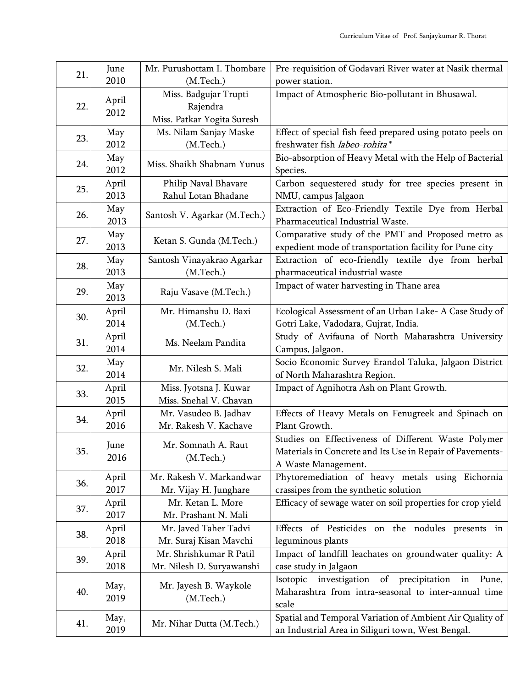| 21. | June  | Mr. Purushottam I. Thombare  | Pre-requisition of Godavari River water at Nasik thermal     |                                                     |
|-----|-------|------------------------------|--------------------------------------------------------------|-----------------------------------------------------|
|     | 2010  | (M.Tech.)                    | power station.                                               |                                                     |
|     |       | Miss. Badgujar Trupti        | Impact of Atmospheric Bio-pollutant in Bhusawal.             |                                                     |
| 22. | April | Rajendra                     |                                                              |                                                     |
|     | 2012  | Miss. Patkar Yogita Suresh   |                                                              |                                                     |
| 23. | May   | Ms. Nilam Sanjay Maske       | Effect of special fish feed prepared using potato peels on   |                                                     |
|     | 2012  | (M.Tech.)                    | freshwater fish labeo-rohita*                                |                                                     |
|     | May   | Miss. Shaikh Shabnam Yunus   | Bio-absorption of Heavy Metal with the Help of Bacterial     |                                                     |
| 24. | 2012  |                              | Species.                                                     |                                                     |
| 25. | April | Philip Naval Bhavare         | Carbon sequestered study for tree species present in         |                                                     |
|     | 2013  | Rahul Lotan Bhadane          | NMU, campus Jalgaon                                          |                                                     |
|     | May   |                              | Extraction of Eco-Friendly Textile Dye from Herbal           |                                                     |
| 26. | 2013  | Santosh V. Agarkar (M.Tech.) | Pharmaceutical Industrial Waste.                             |                                                     |
|     | May   |                              | Comparative study of the PMT and Proposed metro as           |                                                     |
| 27. | 2013  | Ketan S. Gunda (M.Tech.)     | expedient mode of transportation facility for Pune city      |                                                     |
| 28. | May   | Santosh Vinayakrao Agarkar   | Extraction of eco-friendly textile dye from herbal           |                                                     |
|     | 2013  | (M.Tech.)                    | pharmaceutical industrial waste                              |                                                     |
| 29. | May   |                              | Impact of water harvesting in Thane area                     |                                                     |
|     | 2013  | Raju Vasave (M.Tech.)        |                                                              |                                                     |
| 30. | April | Mr. Himanshu D. Baxi         | Ecological Assessment of an Urban Lake- A Case Study of      |                                                     |
|     | 2014  | (M.Tech.)                    | Gotri Lake, Vadodara, Gujrat, India.                         |                                                     |
| 31. | April | Ms. Neelam Pandita           | Study of Avifauna of North Maharashtra University            |                                                     |
|     | 2014  |                              | Campus, Jalgaon.                                             |                                                     |
| 32. | May   | Mr. Nilesh S. Mali           | Socio Economic Survey Erandol Taluka, Jalgaon District       |                                                     |
|     | 2014  |                              | of North Maharashtra Region.                                 |                                                     |
| 33. | April | Miss. Jyotsna J. Kuwar       | Impact of Agnihotra Ash on Plant Growth.                     |                                                     |
|     | 2015  | Miss. Snehal V. Chavan       |                                                              |                                                     |
| 34. | April | Mr. Vasudeo B. Jadhav        | Effects of Heavy Metals on Fenugreek and Spinach on          |                                                     |
|     | 2016  | Mr. Rakesh V. Kachave        | Plant Growth.                                                |                                                     |
|     | June  |                              | Mr. Somnath A. Raut                                          | Studies on Effectiveness of Different Waste Polymer |
| 35. | 2016  | (M.Tech.)                    | Materials in Concrete and Its Use in Repair of Pavements-    |                                                     |
|     |       |                              | A Waste Management.                                          |                                                     |
| 36. | April | Mr. Rakesh V. Markandwar     | Phytoremediation of heavy metals using Eichornia             |                                                     |
|     | 2017  | Mr. Vijay H. Junghare        | crassipes from the synthetic solution                        |                                                     |
| 37. | April | Mr. Ketan L. More            | Efficacy of sewage water on soil properties for crop yield   |                                                     |
|     | 2017  | Mr. Prashant N. Mali         |                                                              |                                                     |
| 38. | April | Mr. Javed Taher Tadvi        | Effects of Pesticides on the nodules presents in             |                                                     |
|     | 2018  | Mr. Suraj Kisan Mavchi       | leguminous plants                                            |                                                     |
| 39. | April | Mr. Shrishkumar R Patil      | Impact of landfill leachates on groundwater quality: A       |                                                     |
|     | 2018  | Mr. Nilesh D. Suryawanshi    | case study in Jalgaon                                        |                                                     |
|     | May,  | Mr. Jayesh B. Waykole        | Isotopic<br>investigation of<br>precipitation<br>Pune,<br>in |                                                     |
| 40. | 2019  | (M.Tech.)                    | Maharashtra from intra-seasonal to inter-annual time         |                                                     |
|     |       |                              | scale                                                        |                                                     |
| 41. | May,  | Mr. Nihar Dutta (M.Tech.)    | Spatial and Temporal Variation of Ambient Air Quality of     |                                                     |
|     | 2019  |                              | an Industrial Area in Siliguri town, West Bengal.            |                                                     |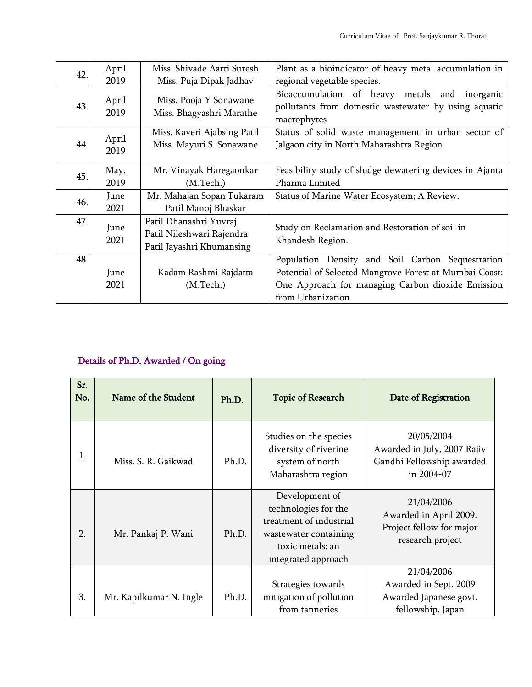| 42.                                                                        | April         | Miss. Shivade Aarti Suresh                              | Plant as a bioindicator of heavy metal accumulation in                                                                                                                                |  |  |
|----------------------------------------------------------------------------|---------------|---------------------------------------------------------|---------------------------------------------------------------------------------------------------------------------------------------------------------------------------------------|--|--|
|                                                                            | 2019          | Miss. Puja Dipak Jadhav                                 | regional vegetable species.                                                                                                                                                           |  |  |
| 43.                                                                        | April<br>2019 | Miss. Pooja Y Sonawane<br>Miss. Bhagyashri Marathe      | Bioaccumulation of heavy metals and<br>inorganic<br>pollutants from domestic wastewater by using aquatic<br>macrophytes                                                               |  |  |
| 44.                                                                        | April<br>2019 | Miss. Kaveri Ajabsing Patil<br>Miss. Mayuri S. Sonawane | Status of solid waste management in urban sector of<br>Jalgaon city in North Maharashtra Region                                                                                       |  |  |
| 45.                                                                        | May,<br>2019  | Mr. Vinayak Haregaonkar<br>(M.Tech.)                    | Feasibility study of sludge dewatering devices in Ajanta<br>Pharma Limited                                                                                                            |  |  |
| 46.                                                                        | June<br>2021  | Mr. Mahajan Sopan Tukaram<br>Patil Manoj Bhaskar        | Status of Marine Water Ecosystem; A Review.                                                                                                                                           |  |  |
| 47.<br>Patil Dhanashri Yuvraj<br>June<br>Patil Nileshwari Rajendra<br>2021 |               | Patil Jayashri Khumansing                               | Study on Reclamation and Restoration of soil in<br>Khandesh Region.                                                                                                                   |  |  |
| 48.                                                                        | June<br>2021  | Kadam Rashmi Rajdatta<br>(M. Tech.)                     | Population Density and Soil Carbon Sequestration<br>Potential of Selected Mangrove Forest at Mumbai Coast:<br>One Approach for managing Carbon dioxide Emission<br>from Urbanization. |  |  |

### Details of Ph.D. Awarded / On going

| Sr.<br>No. | Name of the Student     | Ph.D. | <b>Topic of Research</b>                                                                                                              | Date of Registration                                                                 |
|------------|-------------------------|-------|---------------------------------------------------------------------------------------------------------------------------------------|--------------------------------------------------------------------------------------|
| 1.         | Miss. S. R. Gaikwad     | Ph.D. | Studies on the species<br>diversity of riverine<br>system of north<br>Maharashtra region                                              | 20/05/2004<br>Awarded in July, 2007 Rajiv<br>Gandhi Fellowship awarded<br>in 2004-07 |
| 2.         | Mr. Pankaj P. Wani      | Ph.D. | Development of<br>technologies for the<br>treatment of industrial<br>wastewater containing<br>toxic metals: an<br>integrated approach | 21/04/2006<br>Awarded in April 2009.<br>Project fellow for major<br>research project |
| 3.         | Mr. Kapilkumar N. Ingle | Ph.D. | Strategies towards<br>mitigation of pollution<br>from tanneries                                                                       | 21/04/2006<br>Awarded in Sept. 2009<br>Awarded Japanese govt.<br>fellowship, Japan   |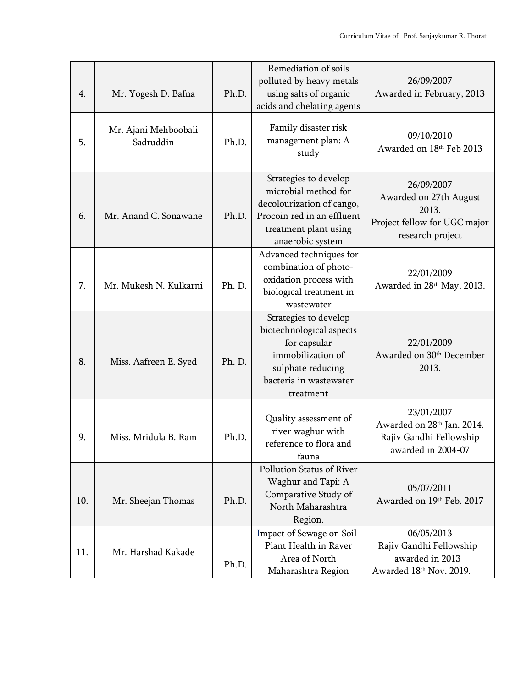| 4.  | Mr. Yogesh D. Bafna               | Ph.D.  | Remediation of soils<br>polluted by heavy metals<br>using salts of organic<br>acids and chelating agents                                              | 26/09/2007<br>Awarded in February, 2013                                                           |
|-----|-----------------------------------|--------|-------------------------------------------------------------------------------------------------------------------------------------------------------|---------------------------------------------------------------------------------------------------|
| 5.  | Mr. Ajani Mehboobali<br>Sadruddin | Ph.D.  | Family disaster risk<br>management plan: A<br>study                                                                                                   | 09/10/2010<br>Awarded on 18th Feb 2013                                                            |
| 6.  | Mr. Anand C. Sonawane             | Ph.D.  | Strategies to develop<br>microbial method for<br>decolourization of cango,<br>Procoin red in an effluent<br>treatment plant using<br>anaerobic system | 26/09/2007<br>Awarded on 27th August<br>2013.<br>Project fellow for UGC major<br>research project |
| 7.  | Mr. Mukesh N. Kulkarni            | Ph. D. | Advanced techniques for<br>combination of photo-<br>oxidation process with<br>biological treatment in<br>wastewater                                   | 22/01/2009<br>Awarded in 28th May, 2013.                                                          |
| 8.  | Miss. Aafreen E. Syed             | Ph. D. | Strategies to develop<br>biotechnological aspects<br>for capsular<br>immobilization of<br>sulphate reducing<br>bacteria in wastewater<br>treatment    | 22/01/2009<br>Awarded on 30th December<br>2013.                                                   |
| 9.  | Miss. Mridula B. Ram              | Ph.D.  | Quality assessment of<br>river waghur with<br>reference to flora and<br>fauna                                                                         | 23/01/2007<br>Awarded on 28th Jan. 2014.<br>Rajiv Gandhi Fellowship<br>awarded in 2004-07         |
| 10. | Mr. Sheejan Thomas                | Ph.D.  | Pollution Status of River<br>Waghur and Tapi: A<br>Comparative Study of<br>North Maharashtra<br>Region.                                               | 05/07/2011<br>Awarded on 19th Feb. 2017                                                           |
| 11. | Mr. Harshad Kakade                | Ph.D.  | Impact of Sewage on Soil-<br>Plant Health in Raver<br>Area of North<br>Maharashtra Region                                                             | 06/05/2013<br>Rajiv Gandhi Fellowship<br>awarded in 2013<br>Awarded 18th Nov. 2019.               |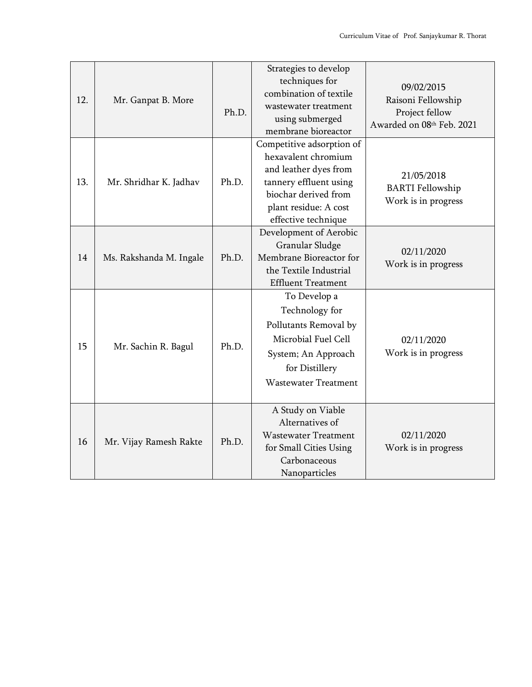| 12. | Mr. Ganpat B. More                                                            |                                                                                                                                                                 | Strategies to develop<br>techniques for<br>combination of textile<br>wastewater treatment<br>using submerged<br>membrane bioreactor                                         | 09/02/2015<br>Raisoni Fellowship<br>Project fellow<br>Awarded on 08th Feb. 2021 |
|-----|-------------------------------------------------------------------------------|-----------------------------------------------------------------------------------------------------------------------------------------------------------------|-----------------------------------------------------------------------------------------------------------------------------------------------------------------------------|---------------------------------------------------------------------------------|
| 13. | Mr. Shridhar K. Jadhav                                                        | Ph.D.                                                                                                                                                           | Competitive adsorption of<br>hexavalent chromium<br>and leather dyes from<br>tannery effluent using<br>biochar derived from<br>plant residue: A cost<br>effective technique | 21/05/2018<br><b>BARTI</b> Fellowship<br>Work is in progress                    |
| 14  | Granular Sludge<br>Ph.D.<br>Ms. Rakshanda M. Ingale<br>the Textile Industrial |                                                                                                                                                                 | Development of Aerobic<br>Membrane Bioreactor for<br><b>Effluent Treatment</b>                                                                                              | 02/11/2020<br>Work is in progress                                               |
| 15  | Mr. Sachin R. Bagul                                                           | To Develop a<br>Technology for<br>Pollutants Removal by<br>Microbial Fuel Cell<br>Ph.D.<br>System; An Approach<br>for Distillery<br><b>Wastewater Treatment</b> |                                                                                                                                                                             | 02/11/2020<br>Work is in progress                                               |
| 16  | Mr. Vijay Ramesh Rakte                                                        | Ph.D.                                                                                                                                                           | A Study on Viable<br>Alternatives of<br><b>Wastewater Treatment</b><br>for Small Cities Using<br>Carbonaceous<br>Nanoparticles                                              | 02/11/2020<br>Work is in progress                                               |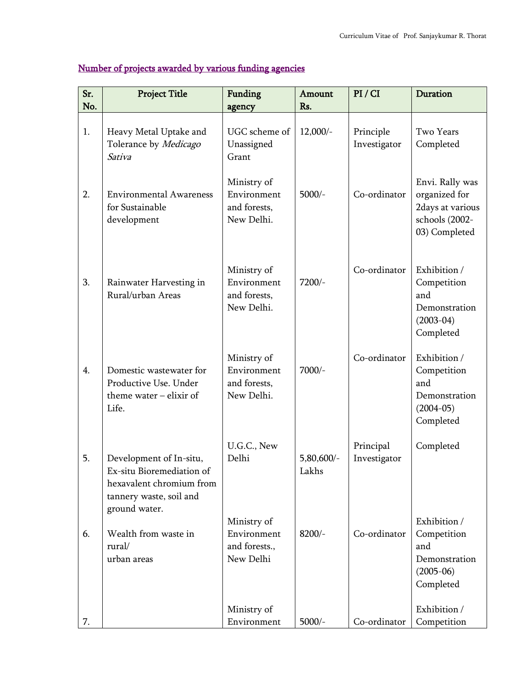| Sr.<br>No. | <b>Project Title</b>                                                                                                         | Funding                                                  | Amount              | PI / CI                   | Duration                                                                                |
|------------|------------------------------------------------------------------------------------------------------------------------------|----------------------------------------------------------|---------------------|---------------------------|-----------------------------------------------------------------------------------------|
|            |                                                                                                                              | agency                                                   | Rs.                 |                           |                                                                                         |
| 1.         | Heavy Metal Uptake and<br>Tolerance by Medicago<br>Sativa                                                                    | UGC scheme of<br>Unassigned<br>Grant                     | $12,000/-$          | Principle<br>Investigator | Two Years<br>Completed                                                                  |
| 2.         | <b>Environmental Awareness</b><br>for Sustainable<br>development                                                             | Ministry of<br>Environment<br>and forests,<br>New Delhi. | $5000/-$            | Co-ordinator              | Envi. Rally was<br>organized for<br>2days at various<br>schools (2002-<br>03) Completed |
| 3.         | Rainwater Harvesting in<br>Rural/urban Areas                                                                                 | Ministry of<br>Environment<br>and forests,<br>New Delhi. | 7200/-              | Co-ordinator              | Exhibition /<br>Competition<br>and<br>Demonstration<br>$(2003-04)$<br>Completed         |
| 4.         | Domestic wastewater for<br>Productive Use. Under<br>theme water $-$ elixir of<br>Life.                                       | Ministry of<br>Environment<br>and forests,<br>New Delhi. | 7000/-              | Co-ordinator              | Exhibition /<br>Competition<br>and<br>Demonstration<br>$(2004-05)$<br>Completed         |
| 5.         | Development of In-situ,<br>Ex-situ Bioremediation of<br>hexavalent chromium from<br>tannery waste, soil and<br>ground water. | U.G.C., New<br>Delhi                                     | 5,80,600/-<br>Lakhs | Principal<br>Investigator | Completed                                                                               |
| 6.         | Wealth from waste in<br>rural/<br>urban areas                                                                                | Ministry of<br>Environment<br>and forests.,<br>New Delhi | $8200/-$            | Co-ordinator              | Exhibition /<br>Competition<br>and<br>Demonstration<br>$(2005-06)$<br>Completed         |
| 7.         |                                                                                                                              | Ministry of<br>Environment                               | $5000/-$            | Co-ordinator              | Exhibition /<br>Competition                                                             |

## Number of projects awarded by various funding agencies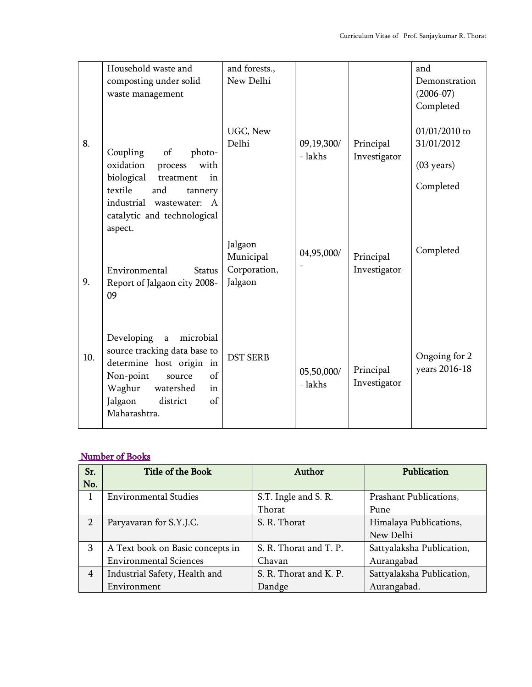|     | Household waste and                                                                                                                                                                                       | and forests.,                                   |                       |                           | and                                                              |
|-----|-----------------------------------------------------------------------------------------------------------------------------------------------------------------------------------------------------------|-------------------------------------------------|-----------------------|---------------------------|------------------------------------------------------------------|
|     | composting under solid                                                                                                                                                                                    | New Delhi                                       |                       |                           | Demonstration                                                    |
|     | waste management                                                                                                                                                                                          |                                                 |                       |                           | $(2006 - 07)$                                                    |
|     |                                                                                                                                                                                                           |                                                 |                       |                           | Completed                                                        |
| 8.  | of<br>Coupling<br>photo-<br>oxidation<br>with<br>process<br>biological<br>in<br>treatment<br>textile<br>and<br>tannery<br>industrial wastewater:<br>$\mathsf{A}$<br>catalytic and technological           | UGC, New<br>Delhi                               | 09,19,300/<br>- lakhs | Principal<br>Investigator | 01/01/2010 to<br>31/01/2012<br>$(03 \text{ years})$<br>Completed |
| 9.  | aspect.<br>Environmental<br><b>Status</b><br>Report of Jalgaon city 2008-<br>09                                                                                                                           | Jalgaon<br>Municipal<br>Corporation,<br>Jalgaon | 04,95,000/            | Principal<br>Investigator | Completed                                                        |
| 10. | Developing<br>microbial<br>$\mathbf a$<br>source tracking data base to<br>determine host origin in<br>Non-point<br>of<br>source<br>Waghur<br>watershed<br>in<br>Jalgaon<br>district<br>of<br>Maharashtra. | <b>DST SERB</b>                                 | 05,50,000/<br>- lakhs | Principal<br>Investigator | Ongoing for 2<br>years 2016-18                                   |

## Number of Books

| Sr.            | Title of the Book                | Author                 | Publication               |
|----------------|----------------------------------|------------------------|---------------------------|
| No.            |                                  |                        |                           |
|                | <b>Environmental Studies</b>     | S.T. Ingle and S. R.   | Prashant Publications,    |
|                |                                  | Thorat                 | Pune                      |
| $\overline{2}$ | Paryavaran for S.Y.J.C.          | S. R. Thorat           | Himalaya Publications,    |
|                |                                  |                        | New Delhi                 |
| 3              | A Text book on Basic concepts in | S. R. Thorat and T. P. | Sattyalaksha Publication, |
|                | <b>Environmental Sciences</b>    | Chavan                 | Aurangabad                |
| 4              | Industrial Safety, Health and    | S. R. Thorat and K. P. | Sattyalaksha Publication, |
|                | Environment                      | Dandge                 | Aurangabad.               |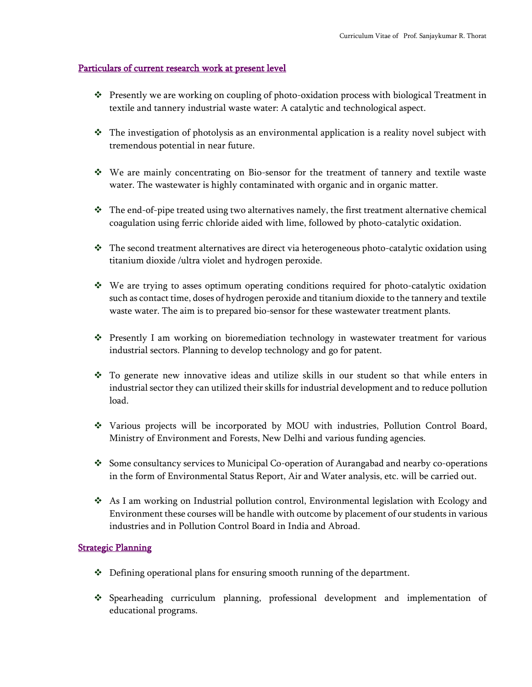#### Particulars of current research work at present level

- ❖ Presently we are working on coupling of photo-oxidation process with biological Treatment in textile and tannery industrial waste water: A catalytic and technological aspect.
- ❖ The investigation of photolysis as an environmental application is a reality novel subject with tremendous potential in near future.
- ❖ We are mainly concentrating on Bio-sensor for the treatment of tannery and textile waste water. The wastewater is highly contaminated with organic and in organic matter.
- ❖ The end-of-pipe treated using two alternatives namely, the first treatment alternative chemical coagulation using ferric chloride aided with lime, followed by photo-catalytic oxidation.
- ❖ The second treatment alternatives are direct via heterogeneous photo-catalytic oxidation using titanium dioxide /ultra violet and hydrogen peroxide.
- ❖ We are trying to asses optimum operating conditions required for photo-catalytic oxidation such as contact time, doses of hydrogen peroxide and titanium dioxide to the tannery and textile waste water. The aim is to prepared bio-sensor for these wastewater treatment plants.
- ❖ Presently I am working on bioremediation technology in wastewater treatment for various industrial sectors. Planning to develop technology and go for patent.
- ❖ To generate new innovative ideas and utilize skills in our student so that while enters in industrial sector they can utilized their skills for industrial development and to reduce pollution load.
- ❖ Various projects will be incorporated by MOU with industries, Pollution Control Board, Ministry of Environment and Forests, New Delhi and various funding agencies.
- ❖ Some consultancy services to Municipal Co-operation of Aurangabad and nearby co-operations in the form of Environmental Status Report, Air and Water analysis, etc. will be carried out.
- ❖ As I am working on Industrial pollution control, Environmental legislation with Ecology and Environment these courses will be handle with outcome by placement of our students in various industries and in Pollution Control Board in India and Abroad.

#### **Strategic Planning**

- ❖ Defining operational plans for ensuring smooth running of the department.
- ❖ Spearheading curriculum planning, professional development and implementation of educational programs.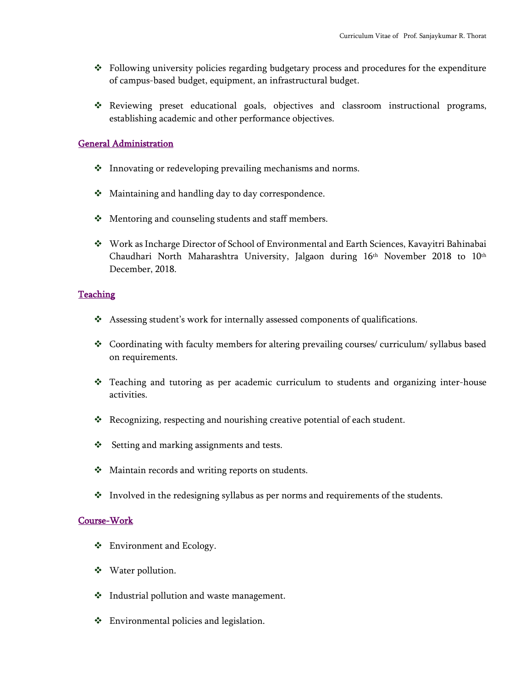- ❖ Following university policies regarding budgetary process and procedures for the expenditure of campus-based budget, equipment, an infrastructural budget.
- ❖ Reviewing preset educational goals, objectives and classroom instructional programs, establishing academic and other performance objectives.

#### General Administration

- ❖ Innovating or redeveloping prevailing mechanisms and norms.
- ❖ Maintaining and handling day to day correspondence.
- ❖ Mentoring and counseling students and staff members.
- ❖ Work as Incharge Director of School of Environmental and Earth Sciences, Kavayitri Bahinabai Chaudhari North Maharashtra University, Jalgaon during 16<sup>th</sup> November 2018 to 10<sup>th</sup> December, 2018.

#### **Teaching**

- ❖ Assessing student's work for internally assessed components of qualifications.
- ❖ Coordinating with faculty members for altering prevailing courses/ curriculum/ syllabus based on requirements.
- ❖ Teaching and tutoring as per academic curriculum to students and organizing inter-house activities.
- ❖ Recognizing, respecting and nourishing creative potential of each student.
- ❖ Setting and marking assignments and tests.
- ❖ Maintain records and writing reports on students.
- ❖ Involved in the redesigning syllabus as per norms and requirements of the students.

#### Course-Work

- ❖ Environment and Ecology.
- ❖ Water pollution.
- ❖ Industrial pollution and waste management.
- ❖ Environmental policies and legislation.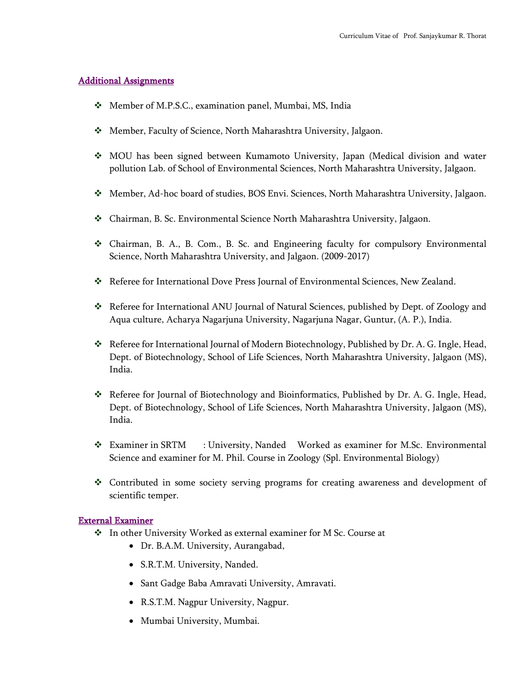#### Additional Assignments

- ❖ Member of M.P.S.C., examination panel, Mumbai, MS, India
- ❖ Member, Faculty of Science, North Maharashtra University, Jalgaon.
- ❖ MOU has been signed between Kumamoto University, Japan (Medical division and water pollution Lab. of School of Environmental Sciences, North Maharashtra University, Jalgaon.
- ❖ Member, Ad-hoc board of studies, BOS Envi. Sciences, North Maharashtra University, Jalgaon.
- ❖ Chairman, B. Sc. Environmental Science North Maharashtra University, Jalgaon.
- ❖ Chairman, B. A., B. Com., B. Sc. and Engineering faculty for compulsory Environmental Science, North Maharashtra University, and Jalgaon. (2009-2017)
- ❖ Referee for International Dove Press Journal of Environmental Sciences, New Zealand.
- ❖ Referee for International ANU Journal of Natural Sciences, published by Dept. of Zoology and Aqua culture, Acharya Nagarjuna University, Nagarjuna Nagar, Guntur, (A. P.), India.
- ❖ Referee for International Journal of Modern Biotechnology, Published by Dr. A. G. Ingle, Head, Dept. of Biotechnology, School of Life Sciences, North Maharashtra University, Jalgaon (MS), India.
- ❖ Referee for Journal of Biotechnology and Bioinformatics, Published by Dr. A. G. Ingle, Head, Dept. of Biotechnology, School of Life Sciences, North Maharashtra University, Jalgaon (MS), India.
- ❖ Examiner in SRTM : University, Nanded Worked as examiner for M.Sc. Environmental Science and examiner for M. Phil. Course in Zoology (Spl. Environmental Biology)
- ❖ Contributed in some society serving programs for creating awareness and development of scientific temper.

#### External Examiner

- ❖ In other University Worked as external examiner for M Sc. Course at
	- Dr. B.A.M. University, Aurangabad,
	- S.R.T.M. University, Nanded.
	- Sant Gadge Baba Amravati University, Amravati.
	- R.S.T.M. Nagpur University, Nagpur.
	- Mumbai University, Mumbai.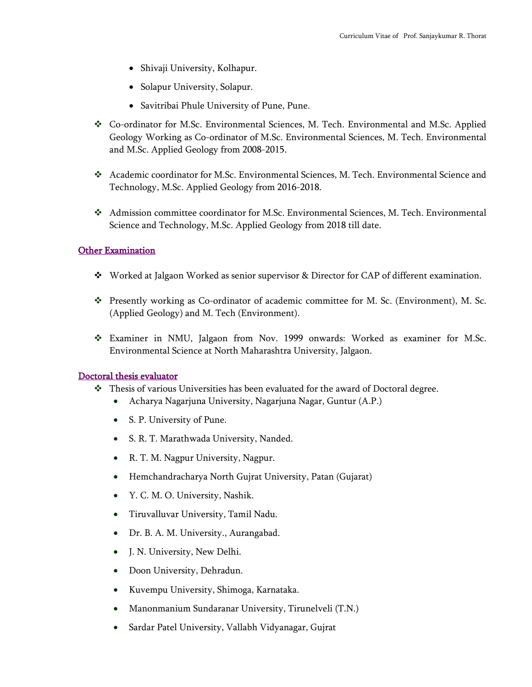- Shivaji University, Kolhapur.
- Solapur University, Solapur.
- Savitribai Phule University of Pune, Pune.
- ❖ Co-ordinator for M.Sc. Environmental Sciences, M. Tech. Environmental and M.Sc. Applied Geology Working as Co-ordinator of M.Sc. Environmental Sciences, M. Tech. Environmental and M.Sc. Applied Geology from 2008-2015.
- ❖ Academic coordinator for M.Sc. Environmental Sciences, M. Tech. Environmental Science and Technology, M.Sc. Applied Geology from 2016-2018.
- ❖ Admission committee coordinator for M.Sc. Environmental Sciences, M. Tech. Environmental Science and Technology, M.Sc. Applied Geology from 2018 till date.

#### Other Examination

- ❖ Worked at Jalgaon Worked as senior supervisor & Director for CAP of different examination.
- ❖ Presently working as Co-ordinator of academic committee for M. Sc. (Environment), M. Sc. (Applied Geology) and M. Tech (Environment).
- ❖ Examiner in NMU, Jalgaon from Nov. 1999 onwards: Worked as examiner for M.Sc. Environmental Science at North Maharashtra University, Jalgaon.

#### Doctoral thesis evaluator

- ❖ Thesis of various Universities has been evaluated for the award of Doctoral degree.
	- Acharya Nagarjuna University, Nagarjuna Nagar, Guntur (A.P.)
	- S. P. University of Pune.
	- S. R. T. Marathwada University, Nanded.
	- R. T. M. Nagpur University, Nagpur.
	- Hemchandracharya North Gujrat University, Patan (Gujarat)
	- Y. C. M. O. University, Nashik.
	- Tiruvalluvar University, Tamil Nadu.
	- Dr. B. A. M. University., Aurangabad.
	- J. N. University, New Delhi.
	- Doon University, Dehradun.
	- Kuvempu University, Shimoga, Karnataka.
	- Manonmanium Sundaranar University, Tirunelveli (T.N.)
	- Sardar Patel University, Vallabh Vidyanagar, Gujrat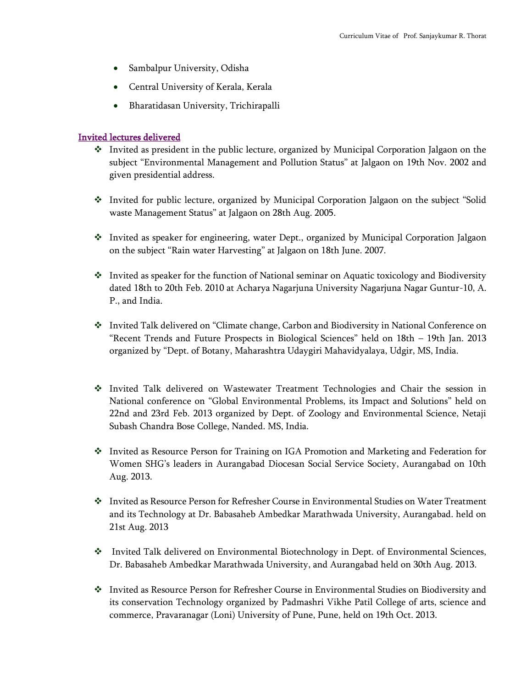- Sambalpur University, Odisha
- Central University of Kerala, Kerala
- Bharatidasan University, Trichirapalli

#### Invited lectures delivered

- ❖ Invited as president in the public lecture, organized by Municipal Corporation Jalgaon on the subject "Environmental Management and Pollution Status" at Jalgaon on 19th Nov. 2002 and given presidential address.
- ❖ Invited for public lecture, organized by Municipal Corporation Jalgaon on the subject "Solid waste Management Status" at Jalgaon on 28th Aug. 2005.
- ❖ Invited as speaker for engineering, water Dept., organized by Municipal Corporation Jalgaon on the subject "Rain water Harvesting" at Jalgaon on 18th June. 2007.
- ❖ Invited as speaker for the function of National seminar on Aquatic toxicology and Biodiversity dated 18th to 20th Feb. 2010 at Acharya Nagarjuna University Nagarjuna Nagar Guntur-10, A. P., and India.
- ❖ Invited Talk delivered on "Climate change, Carbon and Biodiversity in National Conference on "Recent Trends and Future Prospects in Biological Sciences" held on 18th – 19th Jan. 2013 organized by "Dept. of Botany, Maharashtra Udaygiri Mahavidyalaya, Udgir, MS, India.
- ❖ Invited Talk delivered on Wastewater Treatment Technologies and Chair the session in National conference on "Global Environmental Problems, its Impact and Solutions" held on 22nd and 23rd Feb. 2013 organized by Dept. of Zoology and Environmental Science, Netaji Subash Chandra Bose College, Nanded. MS, India.
- ❖ Invited as Resource Person for Training on IGA Promotion and Marketing and Federation for Women SHG's leaders in Aurangabad Diocesan Social Service Society, Aurangabad on 10th Aug. 2013.
- ❖ Invited as Resource Person for Refresher Course in Environmental Studies on Water Treatment and its Technology at Dr. Babasaheb Ambedkar Marathwada University, Aurangabad. held on 21st Aug. 2013
- ❖ Invited Talk delivered on Environmental Biotechnology in Dept. of Environmental Sciences, Dr. Babasaheb Ambedkar Marathwada University, and Aurangabad held on 30th Aug. 2013.
- ❖ Invited as Resource Person for Refresher Course in Environmental Studies on Biodiversity and its conservation Technology organized by Padmashri Vikhe Patil College of arts, science and commerce, Pravaranagar (Loni) University of Pune, Pune, held on 19th Oct. 2013.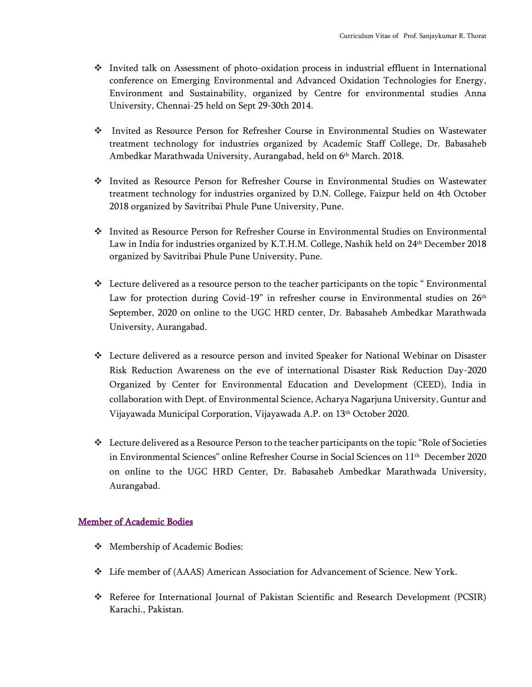- ❖ Invited talk on Assessment of photo-oxidation process in industrial effluent in International conference on Emerging Environmental and Advanced Oxidation Technologies for Energy, Environment and Sustainability, organized by Centre for environmental studies Anna University, Chennai-25 held on Sept 29-30th 2014.
- ❖ Invited as Resource Person for Refresher Course in Environmental Studies on Wastewater treatment technology for industries organized by Academic Staff College, Dr. Babasaheb Ambedkar Marathwada University, Aurangabad, held on 6 th March. 2018.
- ❖ Invited as Resource Person for Refresher Course in Environmental Studies on Wastewater treatment technology for industries organized by D.N. College, Faizpur held on 4th October 2018 organized by Savitribai Phule Pune University, Pune.
- ❖ Invited as Resource Person for Refresher Course in Environmental Studies on Environmental Law in India for industries organized by K.T.H.M. College, Nashik held on 24th December 2018 organized by Savitribai Phule Pune University, Pune.
- ❖ Lecture delivered as a resource person to the teacher participants on the topic " Environmental Law for protection during Covid-19" in refresher course in Environmental studies on 26<sup>th</sup> September, 2020 on online to the UGC HRD center, Dr. Babasaheb Ambedkar Marathwada University, Aurangabad.
- ❖ Lecture delivered as a resource person and invited Speaker for National Webinar on Disaster Risk Reduction Awareness on the eve of international Disaster Risk Reduction Day-2020 Organized by Center for Environmental Education and Development (CEED), India in collaboration with Dept. of Environmental Science, Acharya Nagarjuna University, Guntur and Vijayawada Municipal Corporation, Vijayawada A.P. on 13th October 2020.
- $\div$  Lecture delivered as a Resource Person to the teacher participants on the topic "Role of Societies in Environmental Sciences" online Refresher Course in Social Sciences on 11th December 2020 on online to the UGC HRD Center, Dr. Babasaheb Ambedkar Marathwada University, Aurangabad.

#### Member of Academic Bodies

- ❖ Membership of Academic Bodies:
- ❖ Life member of (AAAS) American Association for Advancement of Science. New York.
- ❖ Referee for International Journal of Pakistan Scientific and Research Development (PCSIR) Karachi., Pakistan.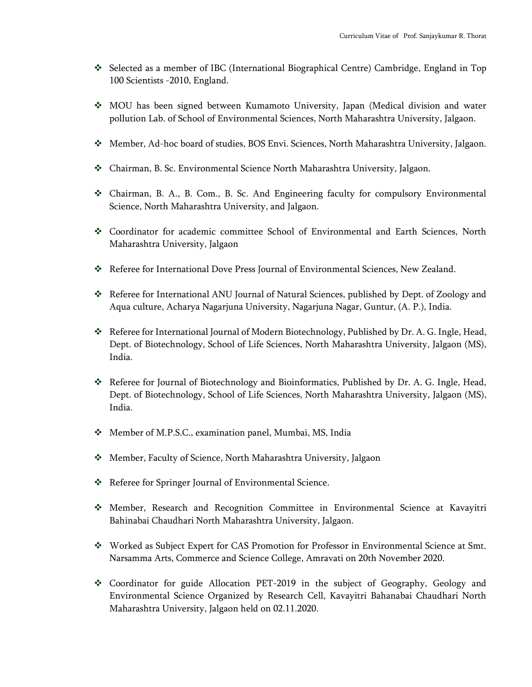- ❖ Selected as a member of IBC (International Biographical Centre) Cambridge, England in Top 100 Scientists -2010, England.
- ❖ MOU has been signed between Kumamoto University, Japan (Medical division and water pollution Lab. of School of Environmental Sciences, North Maharashtra University, Jalgaon.
- ❖ Member, Ad-hoc board of studies, BOS Envi. Sciences, North Maharashtra University, Jalgaon.
- ❖ Chairman, B. Sc. Environmental Science North Maharashtra University, Jalgaon.
- ❖ Chairman, B. A., B. Com., B. Sc. And Engineering faculty for compulsory Environmental Science, North Maharashtra University, and Jalgaon.
- ❖ Coordinator for academic committee School of Environmental and Earth Sciences, North Maharashtra University, Jalgaon
- ❖ Referee for International Dove Press Journal of Environmental Sciences, New Zealand.
- ❖ Referee for International ANU Journal of Natural Sciences, published by Dept. of Zoology and Aqua culture, Acharya Nagarjuna University, Nagarjuna Nagar, Guntur, (A. P.), India.
- ❖ Referee for International Journal of Modern Biotechnology, Published by Dr. A. G. Ingle, Head, Dept. of Biotechnology, School of Life Sciences, North Maharashtra University, Jalgaon (MS), India.
- ❖ Referee for Journal of Biotechnology and Bioinformatics, Published by Dr. A. G. Ingle, Head, Dept. of Biotechnology, School of Life Sciences, North Maharashtra University, Jalgaon (MS), India.
- ❖ Member of M.P.S.C., examination panel, Mumbai, MS, India
- ❖ Member, Faculty of Science, North Maharashtra University, Jalgaon
- ❖ Referee for Springer Journal of Environmental Science.
- ❖ Member, Research and Recognition Committee in Environmental Science at Kavayitri Bahinabai Chaudhari North Maharashtra University, Jalgaon.
- ❖ Worked as Subject Expert for CAS Promotion for Professor in Environmental Science at Smt. Narsamma Arts, Commerce and Science College, Amravati on 20th November 2020.
- ❖ Coordinator for guide Allocation PET-2019 in the subject of Geography, Geology and Environmental Science Organized by Research Cell, Kavayitri Bahanabai Chaudhari North Maharashtra University, Jalgaon held on 02.11.2020.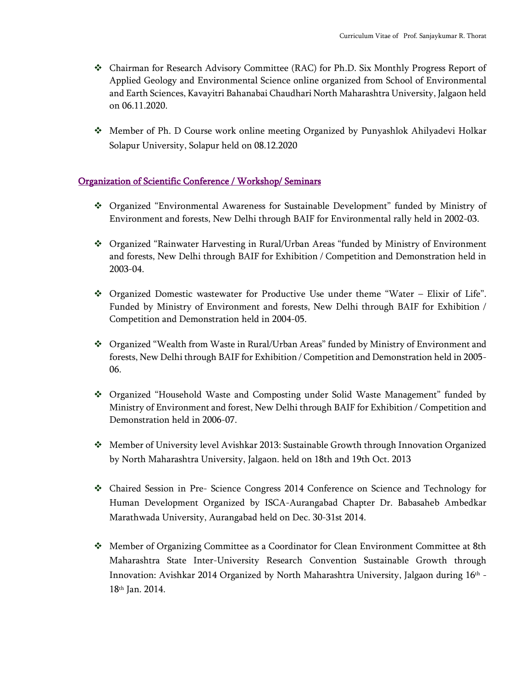- ❖ Chairman for Research Advisory Committee (RAC) for Ph.D. Six Monthly Progress Report of Applied Geology and Environmental Science online organized from School of Environmental and Earth Sciences, Kavayitri Bahanabai Chaudhari North Maharashtra University, Jalgaon held on 06.11.2020.
- ❖ Member of Ph. D Course work online meeting Organized by Punyashlok Ahilyadevi Holkar Solapur University, Solapur held on 08.12.2020

#### Organization of Scientific Conference / Workshop/ Seminars

- ❖ Organized "Environmental Awareness for Sustainable Development" funded by Ministry of Environment and forests, New Delhi through BAIF for Environmental rally held in 2002-03.
- ❖ Organized "Rainwater Harvesting in Rural/Urban Areas "funded by Ministry of Environment and forests, New Delhi through BAIF for Exhibition / Competition and Demonstration held in 2003-04.
- ❖ Organized Domestic wastewater for Productive Use under theme "Water Elixir of Life". Funded by Ministry of Environment and forests, New Delhi through BAIF for Exhibition / Competition and Demonstration held in 2004-05.
- ❖ Organized "Wealth from Waste in Rural/Urban Areas" funded by Ministry of Environment and forests, New Delhi through BAIF for Exhibition / Competition and Demonstration held in 2005- 06.
- ❖ Organized "Household Waste and Composting under Solid Waste Management" funded by Ministry of Environment and forest, New Delhi through BAIF for Exhibition / Competition and Demonstration held in 2006-07.
- ❖ Member of University level Avishkar 2013: Sustainable Growth through Innovation Organized by North Maharashtra University, Jalgaon. held on 18th and 19th Oct. 2013
- ❖ Chaired Session in Pre- Science Congress 2014 Conference on Science and Technology for Human Development Organized by ISCA-Aurangabad Chapter Dr. Babasaheb Ambedkar Marathwada University, Aurangabad held on Dec. 30-31st 2014.
- ❖ Member of Organizing Committee as a Coordinator for Clean Environment Committee at 8th Maharashtra State Inter-University Research Convention Sustainable Growth through Innovation: Avishkar 2014 Organized by North Maharashtra University, Jalgaon during 16th - 18th Jan. 2014.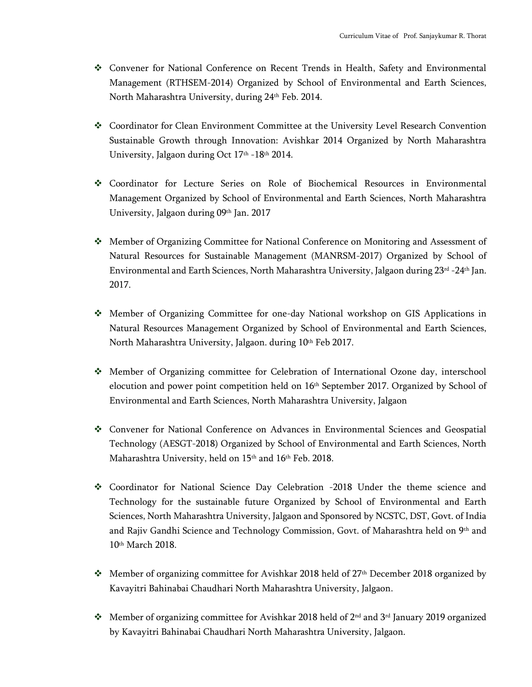- ❖ Convener for National Conference on Recent Trends in Health, Safety and Environmental Management (RTHSEM-2014) Organized by School of Environmental and Earth Sciences, North Maharashtra University, during 24<sup>th</sup> Feb. 2014.
- ❖ Coordinator for Clean Environment Committee at the University Level Research Convention Sustainable Growth through Innovation: Avishkar 2014 Organized by North Maharashtra University, Jalgaon during Oct 17<sup>th</sup> -18<sup>th</sup> 2014.
- ❖ Coordinator for Lecture Series on Role of Biochemical Resources in Environmental Management Organized by School of Environmental and Earth Sciences, North Maharashtra University, Jalgaon during 09th Jan. 2017
- ❖ Member of Organizing Committee for National Conference on Monitoring and Assessment of Natural Resources for Sustainable Management (MANRSM-2017) Organized by School of Environmental and Earth Sciences, North Maharashtra University, Jalgaon during 23rd -24th Jan. 2017.
- ❖ Member of Organizing Committee for one-day National workshop on GIS Applications in Natural Resources Management Organized by School of Environmental and Earth Sciences, North Maharashtra University, Jalgaon. during 10<sup>th</sup> Feb 2017.
- ❖ Member of Organizing committee for Celebration of International Ozone day, interschool elocution and power point competition held on 16th September 2017. Organized by School of Environmental and Earth Sciences, North Maharashtra University, Jalgaon
- ❖ Convener for National Conference on Advances in Environmental Sciences and Geospatial Technology (AESGT-2018) Organized by School of Environmental and Earth Sciences, North Maharashtra University, held on 15<sup>th</sup> and 16<sup>th</sup> Feb. 2018.
- ❖ Coordinator for National Science Day Celebration -2018 Under the theme science and Technology for the sustainable future Organized by School of Environmental and Earth Sciences, North Maharashtra University, Jalgaon and Sponsored by NCSTC, DST, Govt. of India and Rajiv Gandhi Science and Technology Commission, Govt. of Maharashtra held on 9th and 10th March 2018.
- $\dots$  Member of organizing committee for Avishkar 2018 held of 27<sup>th</sup> December 2018 organized by Kavayitri Bahinabai Chaudhari North Maharashtra University, Jalgaon.
- ◆ Member of organizing committee for Avishkar 2018 held of  $2<sup>nd</sup>$  and  $3<sup>rd</sup>$  January 2019 organized by Kavayitri Bahinabai Chaudhari North Maharashtra University, Jalgaon.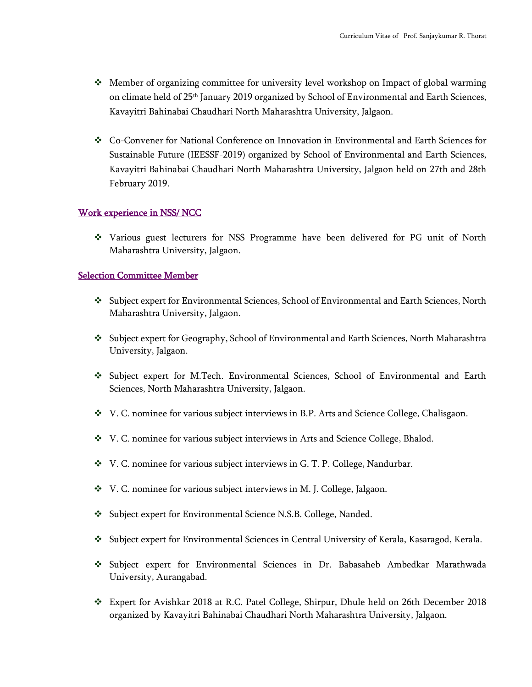- ❖ Member of organizing committee for university level workshop on Impact of global warming on climate held of 25<sup>th</sup> January 2019 organized by School of Environmental and Earth Sciences, Kavayitri Bahinabai Chaudhari North Maharashtra University, Jalgaon.
- ❖ Co-Convener for National Conference on Innovation in Environmental and Earth Sciences for Sustainable Future (IEESSF-2019) organized by School of Environmental and Earth Sciences, Kavayitri Bahinabai Chaudhari North Maharashtra University, Jalgaon held on 27th and 28th February 2019.

#### Work experience in NSS/ NCC

❖ Various guest lecturers for NSS Programme have been delivered for PG unit of North Maharashtra University, Jalgaon.

#### Selection Committee Member

- ❖ Subject expert for Environmental Sciences, School of Environmental and Earth Sciences, North Maharashtra University, Jalgaon.
- ❖ Subject expert for Geography, School of Environmental and Earth Sciences, North Maharashtra University, Jalgaon.
- ❖ Subject expert for M.Tech. Environmental Sciences, School of Environmental and Earth Sciences, North Maharashtra University, Jalgaon.
- ❖ V. C. nominee for various subject interviews in B.P. Arts and Science College, Chalisgaon.
- ❖ V. C. nominee for various subject interviews in Arts and Science College, Bhalod.
- ❖ V. C. nominee for various subject interviews in G. T. P. College, Nandurbar.
- ❖ V. C. nominee for various subject interviews in M. J. College, Jalgaon.
- ❖ Subject expert for Environmental Science N.S.B. College, Nanded.
- ❖ Subject expert for Environmental Sciences in Central University of Kerala, Kasaragod, Kerala.
- ❖ Subject expert for Environmental Sciences in Dr. Babasaheb Ambedkar Marathwada University, Aurangabad.
- ❖ Expert for Avishkar 2018 at R.C. Patel College, Shirpur, Dhule held on 26th December 2018 organized by Kavayitri Bahinabai Chaudhari North Maharashtra University, Jalgaon.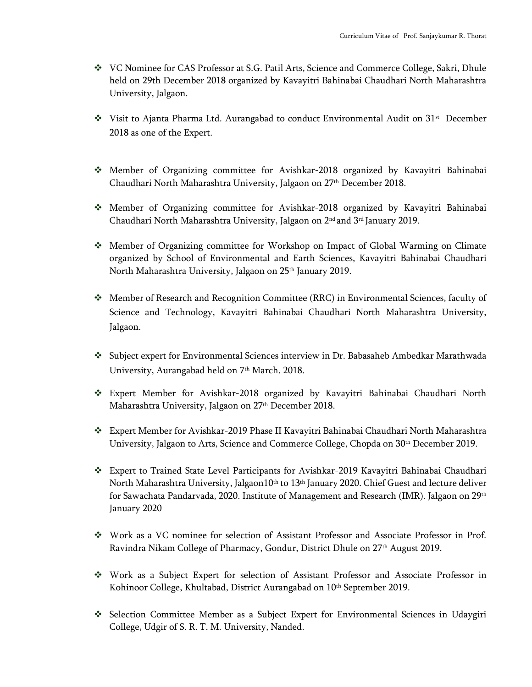- ❖ VC Nominee for CAS Professor at S.G. Patil Arts, Science and Commerce College, Sakri, Dhule held on 29th December 2018 organized by Kavayitri Bahinabai Chaudhari North Maharashtra University, Jalgaon.
- $\dots$  Visit to Ajanta Pharma Ltd. Aurangabad to conduct Environmental Audit on 31<sup>st</sup> December 2018 as one of the Expert.
- ❖ Member of Organizing committee for Avishkar-2018 organized by Kavayitri Bahinabai Chaudhari North Maharashtra University, Jalgaon on 27th December 2018.
- ❖ Member of Organizing committee for Avishkar-2018 organized by Kavayitri Bahinabai Chaudhari North Maharashtra University, Jalgaon on 2 nd and 3rd January 2019.
- ❖ Member of Organizing committee for Workshop on Impact of Global Warming on Climate organized by School of Environmental and Earth Sciences, Kavayitri Bahinabai Chaudhari North Maharashtra University, Jalgaon on 25<sup>th</sup> January 2019.
- ❖ Member of Research and Recognition Committee (RRC) in Environmental Sciences, faculty of Science and Technology, Kavayitri Bahinabai Chaudhari North Maharashtra University, Jalgaon.
- ❖ Subject expert for Environmental Sciences interview in Dr. Babasaheb Ambedkar Marathwada University, Aurangabad held on 7<sup>th</sup> March. 2018.
- ❖ Expert Member for Avishkar-2018 organized by Kavayitri Bahinabai Chaudhari North Maharashtra University, Jalgaon on 27th December 2018.
- ❖ Expert Member for Avishkar-2019 Phase II Kavayitri Bahinabai Chaudhari North Maharashtra University, Jalgaon to Arts, Science and Commerce College, Chopda on 30<sup>th</sup> December 2019.
- ❖ Expert to Trained State Level Participants for Avishkar-2019 Kavayitri Bahinabai Chaudhari North Maharashtra University, Jalgaon10<sup>th</sup> to 13<sup>th</sup> January 2020. Chief Guest and lecture deliver for Sawachata Pandarvada, 2020. Institute of Management and Research (IMR). Jalgaon on 29th January 2020
- ❖ Work as a VC nominee for selection of Assistant Professor and Associate Professor in Prof. Ravindra Nikam College of Pharmacy, Gondur, District Dhule on 27<sup>th</sup> August 2019.
- ❖ Work as a Subject Expert for selection of Assistant Professor and Associate Professor in Kohinoor College, Khultabad, District Aurangabad on 10th September 2019.
- ❖ Selection Committee Member as a Subject Expert for Environmental Sciences in Udaygiri College, Udgir of S. R. T. M. University, Nanded.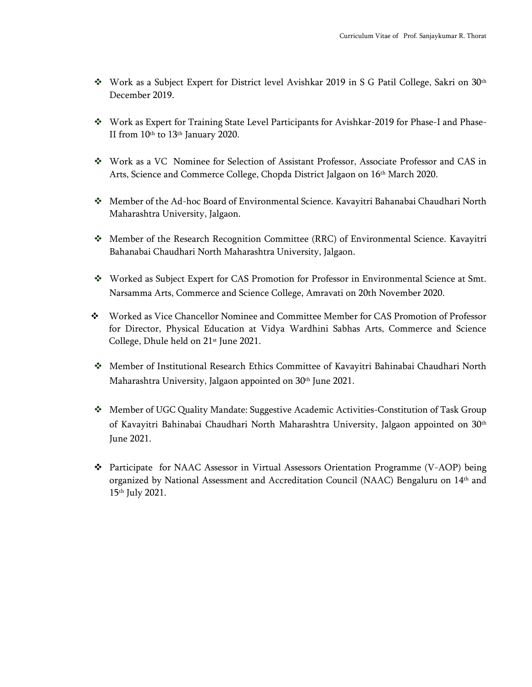- ❖ Work as a Subject Expert for District level Avishkar 2019 in S G Patil College, Sakri on 30th December 2019.
- ❖ Work as Expert for Training State Level Participants for Avishkar-2019 for Phase-I and Phase-II from 10th to 13th January 2020.
- ❖ Work as a VC Nominee for Selection of Assistant Professor, Associate Professor and CAS in Arts, Science and Commerce College, Chopda District Jalgaon on 16th March 2020.
- ❖ Member of the Ad-hoc Board of Environmental Science. Kavayitri Bahanabai Chaudhari North Maharashtra University, Jalgaon.
- ❖ Member of the Research Recognition Committee (RRC) of Environmental Science. Kavayitri Bahanabai Chaudhari North Maharashtra University, Jalgaon.
- ❖ Worked as Subject Expert for CAS Promotion for Professor in Environmental Science at Smt. Narsamma Arts, Commerce and Science College, Amravati on 20th November 2020.
- ❖ Worked as Vice Chancellor Nominee and Committee Member for CAS Promotion of Professor for Director, Physical Education at Vidya Wardhini Sabhas Arts, Commerce and Science College, Dhule held on 21st June 2021.
- ❖ Member of Institutional Research Ethics Committee of Kavayitri Bahinabai Chaudhari North Maharashtra University, Jalgaon appointed on 30<sup>th</sup> June 2021.
- ❖ Member of UGC Quality Mandate: Suggestive Academic Activities-Constitution of Task Group of Kavayitri Bahinabai Chaudhari North Maharashtra University, Jalgaon appointed on 30th June 2021.
- ❖ Participate for NAAC Assessor in Virtual Assessors Orientation Programme (V-AOP) being organized by National Assessment and Accreditation Council (NAAC) Bengaluru on 14th and 15th July 2021.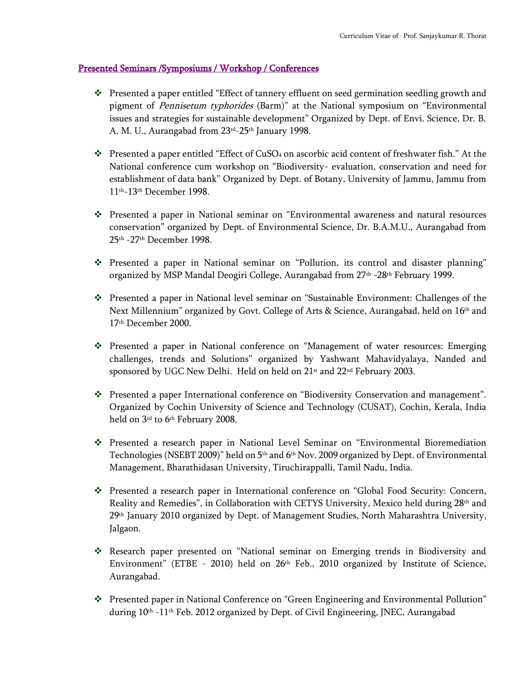#### Presented Seminars /Symposiums / Workshop / Conferences

- ❖ Presented a paper entitled "Effect of tannery effluent on seed germination seedling growth and pigment of Pennisetum typhorides (Barm)" at the National symposium on "Environmental issues and strategies for sustainable development" Organized by Dept. of Envi. Science, Dr. B. A. M. U., Aurangabad from 23<sup>rd</sup>-25<sup>th</sup> January 1998.
- ❖ Presented a paper entitled "Effect of CuSO<sup>4</sup> on ascorbic acid content of freshwater fish." At the National conference cum workshop on "Biodiversity- evaluation, conservation and need for establishment of data bank" Organized by Dept. of Botany, University of Jammu, Jammu from 11th-13th December 1998.
- ❖ Presented a paper in National seminar on "Environmental awareness and natural resources conservation" organized by Dept. of Environmental Science, Dr. B.A.M.U., Aurangabad from 25th -27th December 1998.
- ❖ Presented a paper in National seminar on "Pollution, its control and disaster planning" organized by MSP Mandal Deogiri College, Aurangabad from 27th -28th February 1999.
- ❖ Presented a paper in National level seminar on "Sustainable Environment: Challenges of the Next Millennium" organized by Govt. College of Arts & Science, Aurangabad, held on 16 th and 17th December 2000.
- ❖ Presented a paper in National conference on "Management of water resources: Emerging challenges, trends and Solutions" organized by Yashwant Mahavidyalaya, Nanded and sponsored by UGC New Delhi. Held on held on 21<sup>st</sup> and 22<sup>nd</sup> February 2003.
- ❖ Presented a paper International conference on "Biodiversity Conservation and management". Organized by Cochin University of Science and Technology (CUSAT), Cochin, Kerala, India held on 3<sup>rd</sup> to 6<sup>th</sup> February 2008.
- ❖ Presented a research paper in National Level Seminar on "Environmental Bioremediation Technologies (NSEBT 2009)" held on 5<sup>th</sup> and 6<sup>th</sup> Nov. 2009 organized by Dept. of Environmental Management, Bharathidasan University, Tiruchirappalli, Tamil Nadu, India.
- ❖ Presented a research paper in International conference on "Global Food Security: Concern, Reality and Remedies", in Collaboration with CETYS University, Mexico held during 28th and 29th January 2010 organized by Dept. of Management Studies, North Maharashtra University, Jalgaon.
- ❖ Research paper presented on "National seminar on Emerging trends in Biodiversity and Environment" (ETBE - 2010) held on 26th Feb., 2010 organized by Institute of Science, Aurangabad.
- ❖ Presented paper in National Conference on "Green Engineering and Environmental Pollution" during 10<sup>th</sup> -11<sup>th</sup> Feb. 2012 organized by Dept. of Civil Engineering, JNEC, Aurangabad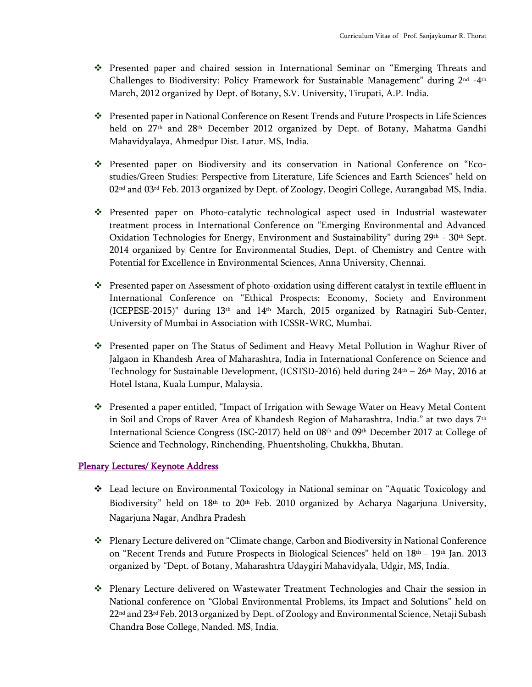- ❖ Presented paper and chaired session in International Seminar on "Emerging Threats and Challenges to Biodiversity: Policy Framework for Sustainable Management" during  $2^{\text{\tiny nd}}$  -4th March, 2012 organized by Dept. of Botany, S.V. University, Tirupati, A.P. India.
- ❖ Presented paper in National Conference on Resent Trends and Future Prospects in Life Sciences held on 27<sup>th</sup> and 28<sup>th</sup> December 2012 organized by Dept. of Botany, Mahatma Gandhi Mahavidyalaya, Ahmedpur Dist. Latur. MS, India.
- ❖ Presented paper on Biodiversity and its conservation in National Conference on "Ecostudies/Green Studies: Perspective from Literature, Life Sciences and Earth Sciences" held on 02<sup>nd</sup> and 03<sup>rd</sup> Feb. 2013 organized by Dept. of Zoology, Deogiri College, Aurangabad MS, India.
- ❖ Presented paper on Photo-catalytic technological aspect used in Industrial wastewater treatment process in International Conference on "Emerging Environmental and Advanced Oxidation Technologies for Energy, Environment and Sustainability" during  $29<sup>th</sup> - 30<sup>th</sup>$  Sept. 2014 organized by Centre for Environmental Studies, Dept. of Chemistry and Centre with Potential for Excellence in Environmental Sciences, Anna University, Chennai.
- ❖ Presented paper on Assessment of photo-oxidation using different catalyst in textile effluent in International Conference on "Ethical Prospects: Economy, Society and Environment (ICEPESE-2015)" during 13th and 14th March, 2015 organized by Ratnagiri Sub-Center, University of Mumbai in Association with ICSSR-WRC, Mumbai.
- ❖ Presented paper on The Status of Sediment and Heavy Metal Pollution in Waghur River of Jalgaon in Khandesh Area of Maharashtra, India in International Conference on Science and Technology for Sustainable Development, (ICSTSD-2016) held during 24<sup>th</sup> - 26<sup>th</sup> May, 2016 at Hotel Istana, Kuala Lumpur, Malaysia.
- ❖ Presented a paper entitled, "Impact of Irrigation with Sewage Water on Heavy Metal Content in Soil and Crops of Raver Area of Khandesh Region of Maharashtra, India." at two days 7<sup>th</sup> International Science Congress (ISC-2017) held on 08th and 09th December 2017 at College of Science and Technology, Rinchending, Phuentsholing, Chukkha, Bhutan.

#### Plenary Lectures/ Keynote Address

- ❖ Lead lecture on Environmental Toxicology in National seminar on "Aquatic Toxicology and Biodiversity" held on 18<sup>th</sup> to 20<sup>th</sup> Feb. 2010 organized by Acharya Nagarjuna University, Nagarjuna Nagar, Andhra Pradesh
- ❖ Plenary Lecture delivered on "Climate change, Carbon and Biodiversity in National Conference on "Recent Trends and Future Prospects in Biological Sciences" held on 18<sup>th</sup> – 19<sup>th</sup> Jan. 2013 organized by "Dept. of Botany, Maharashtra Udaygiri Mahavidyala, Udgir, MS, India.
- ❖ Plenary Lecture delivered on Wastewater Treatment Technologies and Chair the session in National conference on "Global Environmental Problems, its Impact and Solutions" held on 22<sup>nd</sup> and 23<sup>rd</sup> Feb. 2013 organized by Dept. of Zoology and Environmental Science, Netaji Subash Chandra Bose College, Nanded. MS, India.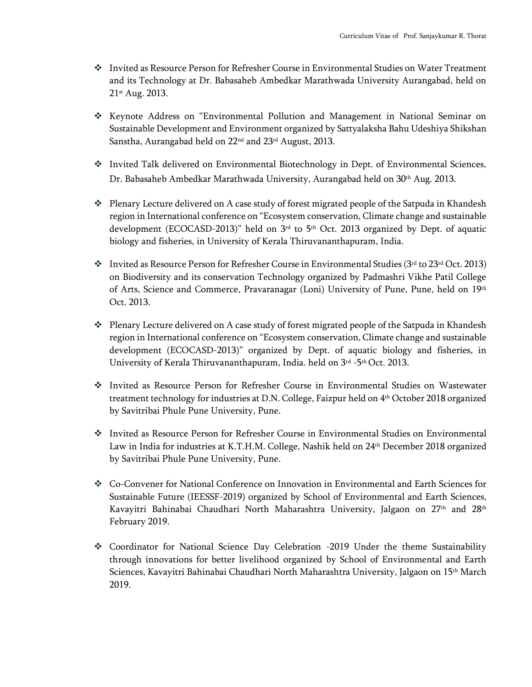- ❖ Invited as Resource Person for Refresher Course in Environmental Studies on Water Treatment and its Technology at Dr. Babasaheb Ambedkar Marathwada University Aurangabad, held on 21st Aug. 2013.
- ❖ Keynote Address on "Environmental Pollution and Management in National Seminar on Sustainable Development and Environment organized by Sattyalaksha Bahu Udeshiya Shikshan Sanstha, Aurangabad held on 22<sup>nd</sup> and 23<sup>rd</sup> August, 2013.
- ❖ Invited Talk delivered on Environmental Biotechnology in Dept. of Environmental Sciences, Dr. Babasaheb Ambedkar Marathwada University, Aurangabad held on 30<sup>th</sup> Aug. 2013.
- ❖ Plenary Lecture delivered on A case study of forest migrated people of the Satpuda in Khandesh region in International conference on "Ecosystem conservation, Climate change and sustainable development (ECOCASD-2013)" held on  $3<sup>rd</sup>$  to 5<sup>th</sup> Oct. 2013 organized by Dept. of aquatic biology and fisheries, in University of Kerala Thiruvananthapuram, India.
- ◆ Invited as Resource Person for Refresher Course in Environmental Studies ( $3^{rd}$  to  $23^{rd}$  Oct. 2013) on Biodiversity and its conservation Technology organized by Padmashri Vikhe Patil College of Arts, Science and Commerce, Pravaranagar (Loni) University of Pune, Pune, held on 19th Oct. 2013.
- ❖ Plenary Lecture delivered on A case study of forest migrated people of the Satpuda in Khandesh region in International conference on "Ecosystem conservation, Climate change and sustainable development (ECOCASD-2013)" organized by Dept. of aquatic biology and fisheries, in University of Kerala Thiruvananthapuram, India. held on 3rd -5 th Oct. 2013.
- ❖ Invited as Resource Person for Refresher Course in Environmental Studies on Wastewater treatment technology for industries at D.N. College, Faizpur held on 4 th October 2018 organized by Savitribai Phule Pune University, Pune.
- ❖ Invited as Resource Person for Refresher Course in Environmental Studies on Environmental Law in India for industries at K.T.H.M. College, Nashik held on 24th December 2018 organized by Savitribai Phule Pune University, Pune.
- ❖ Co-Convener for National Conference on Innovation in Environmental and Earth Sciences for Sustainable Future (IEESSF-2019) organized by School of Environmental and Earth Sciences, Kavayitri Bahinabai Chaudhari North Maharashtra University, Jalgaon on 27<sup>th</sup> and 28<sup>th</sup> February 2019.
- ❖ Coordinator for National Science Day Celebration -2019 Under the theme Sustainability through innovations for better livelihood organized by School of Environmental and Earth Sciences, Kavayitri Bahinabai Chaudhari North Maharashtra University, Jalgaon on 15th March 2019.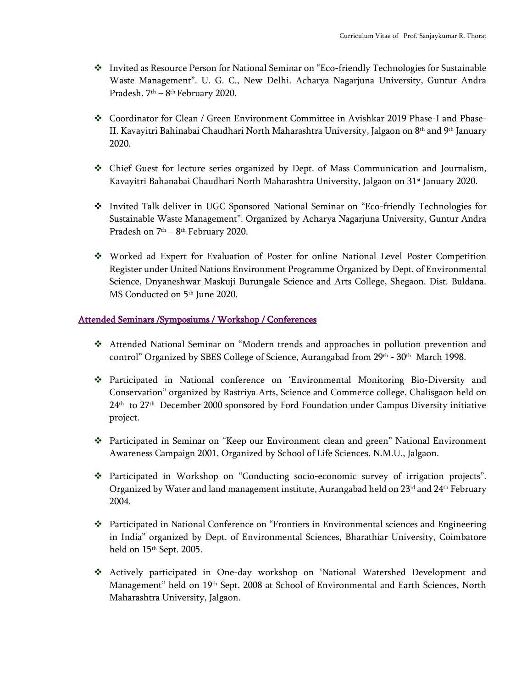- ❖ Invited as Resource Person for National Seminar on "Eco-friendly Technologies for Sustainable Waste Management". U. G. C., New Delhi. Acharya Nagarjuna University, Guntur Andra Pradesh. 7th – 8 th February 2020.
- ❖ Coordinator for Clean / Green Environment Committee in Avishkar 2019 Phase-I and Phase-II. Kavayitri Bahinabai Chaudhari North Maharashtra University, Jalgaon on 8 th and 9th January 2020.
- ❖ Chief Guest for lecture series organized by Dept. of Mass Communication and Journalism, Kavayitri Bahanabai Chaudhari North Maharashtra University, Jalgaon on 31<sup>st</sup> January 2020.
- ❖ Invited Talk deliver in UGC Sponsored National Seminar on "Eco-friendly Technologies for Sustainable Waste Management". Organized by Acharya Nagarjuna University, Guntur Andra Pradesh on 7<sup>th</sup> – 8<sup>th</sup> February 2020.
- ❖ Worked ad Expert for Evaluation of Poster for online National Level Poster Competition Register under United Nations Environment Programme Organized by Dept. of Environmental Science, Dnyaneshwar Maskuji Burungale Science and Arts College, Shegaon. Dist. Buldana. MS Conducted on 5<sup>th</sup> June 2020.

#### Attended Seminars /Symposiums / Workshop / Conferences

- ❖ Attended National Seminar on "Modern trends and approaches in pollution prevention and control" Organized by SBES College of Science, Aurangabad from 29<sup>th</sup> - 30<sup>th</sup> March 1998.
- ❖ Participated in National conference on 'Environmental Monitoring Bio-Diversity and Conservation" organized by Rastriya Arts, Science and Commerce college, Chalisgaon held on 24th to 27th December 2000 sponsored by Ford Foundation under Campus Diversity initiative project.
- ❖ Participated in Seminar on "Keep our Environment clean and green" National Environment Awareness Campaign 2001, Organized by School of Life Sciences, N.M.U., Jalgaon.
- ❖ Participated in Workshop on "Conducting socio-economic survey of irrigation projects". Organized by Water and land management institute, Aurangabad held on  $23<sup>rd</sup>$  and  $24<sup>th</sup>$  February 2004.
- ❖ Participated in National Conference on "Frontiers in Environmental sciences and Engineering in India" organized by Dept. of Environmental Sciences, Bharathiar University, Coimbatore held on 15<sup>th</sup> Sept. 2005.
- ❖ Actively participated in One-day workshop on 'National Watershed Development and Management" held on 19th Sept. 2008 at School of Environmental and Earth Sciences, North Maharashtra University, Jalgaon.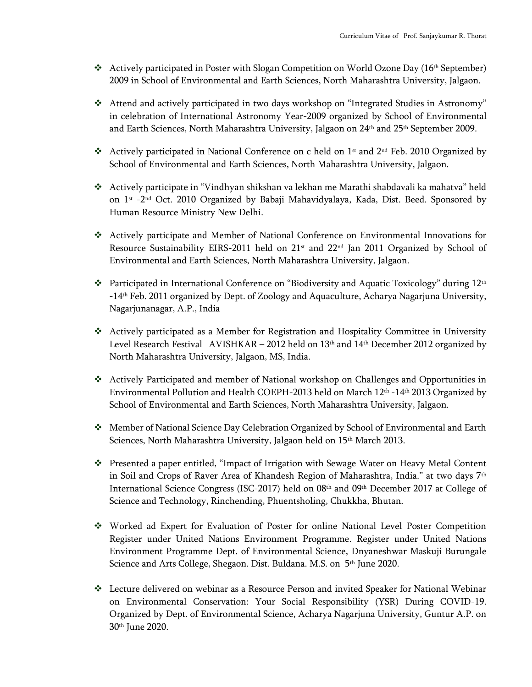- **❖** Actively participated in Poster with Slogan Competition on World Ozone Day (16<sup>th</sup> September) 2009 in School of Environmental and Earth Sciences, North Maharashtra University, Jalgaon.
- ❖ Attend and actively participated in two days workshop on "Integrated Studies in Astronomy" in celebration of International Astronomy Year-2009 organized by School of Environmental and Earth Sciences, North Maharashtra University, Jalgaon on 24<sup>th</sup> and 25<sup>th</sup> September 2009.
- ❖ Actively participated in National Conference on c held on  $1<sup>st</sup>$  and  $2<sup>nd</sup>$  Feb. 2010 Organized by School of Environmental and Earth Sciences, North Maharashtra University, Jalgaon.
- ❖ Actively participate in "Vindhyan shikshan va lekhan me Marathi shabdavali ka mahatva" held on 1st -2 nd Oct. 2010 Organized by Babaji Mahavidyalaya, Kada, Dist. Beed. Sponsored by Human Resource Ministry New Delhi.
- ❖ Actively participate and Member of National Conference on Environmental Innovations for Resource Sustainability EIRS-2011 held on 21<sup>st</sup> and 22<sup>nd</sup> Jan 2011 Organized by School of Environmental and Earth Sciences, North Maharashtra University, Jalgaon.
- ❖ Participated in International Conference on "Biodiversity and Aquatic Toxicology" during  $12<sup>th</sup>$ -14th Feb. 2011 organized by Dept. of Zoology and Aquaculture, Acharya Nagarjuna University, Nagarjunanagar, A.P., India
- ❖ Actively participated as a Member for Registration and Hospitality Committee in University Level Research Festival AVISHKAR – 2012 held on 13<sup>th</sup> and 14<sup>th</sup> December 2012 organized by North Maharashtra University, Jalgaon, MS, India.
- ❖ Actively Participated and member of National workshop on Challenges and Opportunities in Environmental Pollution and Health COEPH-2013 held on March 12<sup>th</sup> -14<sup>th</sup> 2013 Organized by School of Environmental and Earth Sciences, North Maharashtra University, Jalgaon.
- ❖ Member of National Science Day Celebration Organized by School of Environmental and Earth Sciences, North Maharashtra University, Jalgaon held on 15<sup>th</sup> March 2013.
- ❖ Presented a paper entitled, "Impact of Irrigation with Sewage Water on Heavy Metal Content in Soil and Crops of Raver Area of Khandesh Region of Maharashtra, India." at two days 7th International Science Congress (ISC-2017) held on 08th and 09th December 2017 at College of Science and Technology, Rinchending, Phuentsholing, Chukkha, Bhutan.
- ❖ Worked ad Expert for Evaluation of Poster for online National Level Poster Competition Register under United Nations Environment Programme. Register under United Nations Environment Programme Dept. of Environmental Science, Dnyaneshwar Maskuji Burungale Science and Arts College, Shegaon. Dist. Buldana. M.S. on 5<sup>th</sup> June 2020.
- ❖ Lecture delivered on webinar as a Resource Person and invited Speaker for National Webinar on Environmental Conservation: Your Social Responsibility (YSR) During COVID-19. Organized by Dept. of Environmental Science, Acharya Nagarjuna University, Guntur A.P. on 30th June 2020.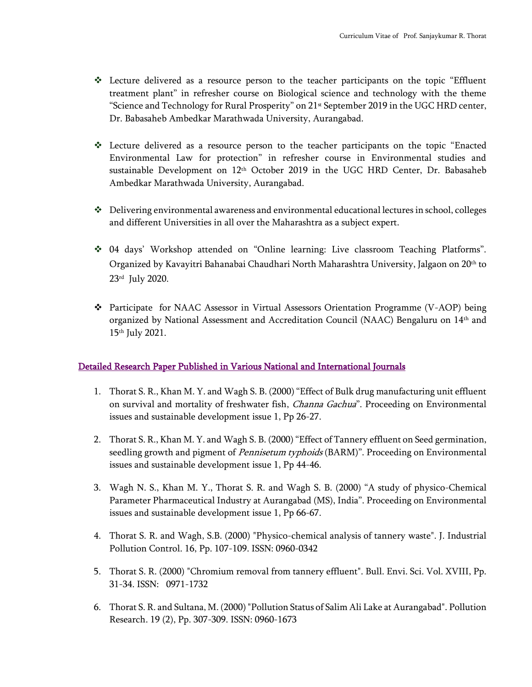- ❖ Lecture delivered as a resource person to the teacher participants on the topic "Effluent treatment plant" in refresher course on Biological science and technology with the theme "Science and Technology for Rural Prosperity" on  $21<sup>st</sup>$  September 2019 in the UGC HRD center, Dr. Babasaheb Ambedkar Marathwada University, Aurangabad.
- ❖ Lecture delivered as a resource person to the teacher participants on the topic "Enacted Environmental Law for protection" in refresher course in Environmental studies and sustainable Development on  $12<sup>th</sup>$  October 2019 in the UGC HRD Center, Dr. Babasaheb Ambedkar Marathwada University, Aurangabad.
- ❖ Delivering environmental awareness and environmental educational lectures in school, colleges and different Universities in all over the Maharashtra as a subject expert.
- ❖ 04 days' Workshop attended on "Online learning: Live classroom Teaching Platforms". Organized by Kavayitri Bahanabai Chaudhari North Maharashtra University, Jalgaon on 20th to 23rd July 2020.
- ❖ Participate for NAAC Assessor in Virtual Assessors Orientation Programme (V-AOP) being organized by National Assessment and Accreditation Council (NAAC) Bengaluru on 14th and 15th July 2021.

#### Detailed Research Paper Published in Various National and International Journals

- 1. Thorat S. R., Khan M. Y. and Wagh S. B. (2000) "Effect of Bulk drug manufacturing unit effluent on survival and mortality of freshwater fish, *Channa Gachua*". Proceeding on Environmental issues and sustainable development issue 1, Pp 26-27.
- 2. Thorat S. R., Khan M. Y. and Wagh S. B. (2000) "Effect of Tannery effluent on Seed germination, seedling growth and pigment of *Pennisetum typhoids* (BARM)". Proceeding on Environmental issues and sustainable development issue 1, Pp 44-46.
- 3. Wagh N. S., Khan M. Y., Thorat S. R. and Wagh S. B. (2000) "A study of physico-Chemical Parameter Pharmaceutical Industry at Aurangabad (MS), India". Proceeding on Environmental issues and sustainable development issue 1, Pp 66-67.
- 4. Thorat S. R. and Wagh, S.B. (2000) "Physico-chemical analysis of tannery waste". J. Industrial Pollution Control. 16, Pp. 107-109. ISSN: 0960-0342
- 5. Thorat S. R. (2000) "Chromium removal from tannery effluent". Bull. Envi. Sci. Vol. XVIII, Pp. 31-34. ISSN: 0971-1732
- 6. Thorat S. R. and Sultana, M. (2000) "Pollution Status of Salim Ali Lake at Aurangabad". Pollution Research. 19 (2), Pp. 307-309. ISSN: 0960-1673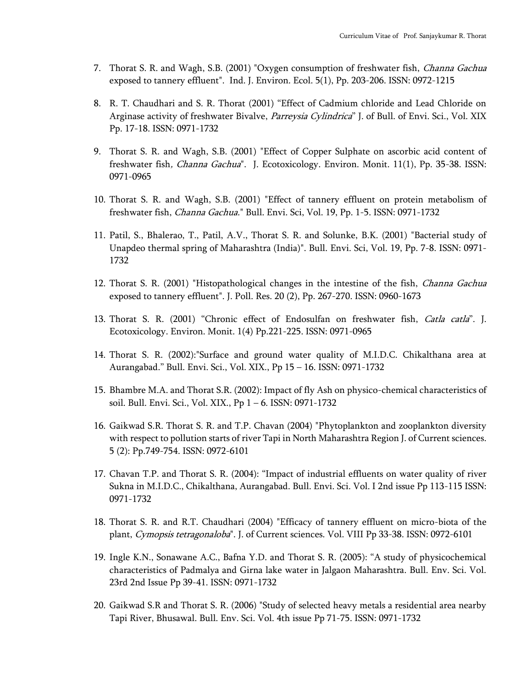- 7. Thorat S. R. and Wagh, S.B. (2001) "Oxygen consumption of freshwater fish, Channa Gachua exposed to tannery effluent". Ind. J. Environ. Ecol. 5(1), Pp. 203-206. ISSN: 0972-1215
- 8. R. T. Chaudhari and S. R. Thorat (2001) "Effect of Cadmium chloride and Lead Chloride on Arginase activity of freshwater Bivalve, *Parreysia Cylindrica*" J. of Bull. of Envi. Sci., Vol. XIX Pp. 17-18. ISSN: 0971-1732
- 9. Thorat S. R. and Wagh, S.B. (2001) "Effect of Copper Sulphate on ascorbic acid content of freshwater fish, *Channa Gachua*". J. Ecotoxicology. Environ. Monit. 11(1), Pp. 35-38. ISSN: 0971-0965
- 10. Thorat S. R. and Wagh, S.B. (2001) "Effect of tannery effluent on protein metabolism of freshwater fish, Channa Gachua." Bull. Envi. Sci, Vol. 19, Pp. 1-5. ISSN: 0971-1732
- 11. Patil, S., Bhalerao, T., Patil, A.V., Thorat S. R. and Solunke, B.K. (2001) "Bacterial study of Unapdeo thermal spring of Maharashtra (India)". Bull. Envi. Sci, Vol. 19, Pp. 7-8. ISSN: 0971- 1732
- 12. Thorat S. R. (2001) "Histopathological changes in the intestine of the fish, *Channa Gachua* exposed to tannery effluent". J. Poll. Res. 20 (2), Pp. 267-270. ISSN: 0960-1673
- 13. Thorat S. R. (2001) "Chronic effect of Endosulfan on freshwater fish, *Catla catla*". J. Ecotoxicology. Environ. Monit. 1(4) Pp.221-225. ISSN: 0971-0965
- 14. Thorat S. R. (2002):"Surface and ground water quality of M.I.D.C. Chikalthana area at Aurangabad." Bull. Envi. Sci., Vol. XIX., Pp 15 – 16. ISSN: 0971-1732
- 15. Bhambre M.A. and Thorat S.R. (2002): Impact of fly Ash on physico-chemical characteristics of soil. Bull. Envi. Sci., Vol. XIX., Pp 1 – 6. ISSN: 0971-1732
- 16. Gaikwad S.R. Thorat S. R. and T.P. Chavan (2004) "Phytoplankton and zooplankton diversity with respect to pollution starts of river Tapi in North Maharashtra Region J. of Current sciences. 5 (2): Pp.749-754. ISSN: 0972-6101
- 17. Chavan T.P. and Thorat S. R. (2004): "Impact of industrial effluents on water quality of river Sukna in M.I.D.C., Chikalthana, Aurangabad. Bull. Envi. Sci. Vol. I 2nd issue Pp 113-115 ISSN: 0971-1732
- 18. Thorat S. R. and R.T. Chaudhari (2004) "Efficacy of tannery effluent on micro-biota of the plant, Cymopsis tetragonaloba". J. of Current sciences. Vol. VIII Pp 33-38. ISSN: 0972-6101
- 19. Ingle K.N., Sonawane A.C., Bafna Y.D. and Thorat S. R. (2005): "A study of physicochemical characteristics of Padmalya and Girna lake water in Jalgaon Maharashtra. Bull. Env. Sci. Vol. 23rd 2nd Issue Pp 39-41. ISSN: 0971-1732
- 20. Gaikwad S.R and Thorat S. R. (2006) "Study of selected heavy metals a residential area nearby Tapi River, Bhusawal. Bull. Env. Sci. Vol. 4th issue Pp 71-75. ISSN: 0971-1732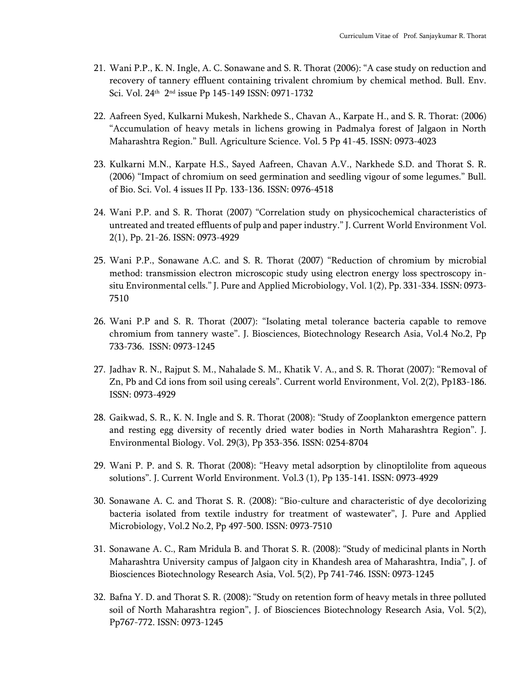- 21. Wani P.P., K. N. Ingle, A. C. Sonawane and S. R. Thorat (2006): "A case study on reduction and recovery of tannery effluent containing trivalent chromium by chemical method. Bull. Env. Sci. Vol. 24th 2 nd issue Pp 145-149 ISSN: 0971-1732
- 22. Aafreen Syed, Kulkarni Mukesh, Narkhede S., Chavan A., Karpate H., and S. R. Thorat: (2006) "Accumulation of heavy metals in lichens growing in Padmalya forest of Jalgaon in North Maharashtra Region." Bull. Agriculture Science. Vol. 5 Pp 41-45. ISSN: 0973-4023
- 23. Kulkarni M.N., Karpate H.S., Sayed Aafreen, Chavan A.V., Narkhede S.D. and Thorat S. R. (2006) "Impact of chromium on seed germination and seedling vigour of some legumes." Bull. of Bio. Sci. Vol. 4 issues II Pp. 133-136. ISSN: 0976-4518
- 24. Wani P.P. and S. R. Thorat (2007) "Correlation study on physicochemical characteristics of untreated and treated effluents of pulp and paper industry." J. Current World Environment Vol. 2(1), Pp. 21-26. ISSN: 0973-4929
- 25. Wani P.P., Sonawane A.C. and S. R. Thorat (2007) "Reduction of chromium by microbial method: transmission electron microscopic study using electron energy loss spectroscopy insitu Environmental cells." J. Pure and Applied Microbiology, Vol. 1(2), Pp. 331-334. ISSN: 0973- 7510
- 26. Wani P.P and S. R. Thorat (2007): "Isolating metal tolerance bacteria capable to remove chromium from tannery waste". J. Biosciences, Biotechnology Research Asia, Vol.4 No.2, Pp 733-736. ISSN: 0973-1245
- 27. Jadhav R. N., Rajput S. M., Nahalade S. M., Khatik V. A., and S. R. Thorat (2007): "Removal of Zn, Pb and Cd ions from soil using cereals". Current world Environment, Vol. 2(2), Pp183-186. ISSN: 0973-4929
- 28. Gaikwad, S. R., K. N. Ingle and S. R. Thorat (2008): "Study of Zooplankton emergence pattern and resting egg diversity of recently dried water bodies in North Maharashtra Region". J. Environmental Biology. Vol. 29(3), Pp 353-356. ISSN: 0254-8704
- 29. Wani P. P. and S. R. Thorat (2008): "Heavy metal adsorption by clinoptilolite from aqueous solutions". J. Current World Environment. Vol.3 (1), Pp 135-141. ISSN: 0973-4929
- 30. Sonawane A. C. and Thorat S. R. (2008): "Bio-culture and characteristic of dye decolorizing bacteria isolated from textile industry for treatment of wastewater", J. Pure and Applied Microbiology, Vol.2 No.2, Pp 497-500. ISSN: 0973-7510
- 31. Sonawane A. C., Ram Mridula B. and Thorat S. R. (2008): "Study of medicinal plants in North Maharashtra University campus of Jalgaon city in Khandesh area of Maharashtra, India", J. of Biosciences Biotechnology Research Asia, Vol. 5(2), Pp 741-746. ISSN: 0973-1245
- 32. Bafna Y. D. and Thorat S. R. (2008): "Study on retention form of heavy metals in three polluted soil of North Maharashtra region", J. of Biosciences Biotechnology Research Asia, Vol. 5(2), Pp767-772. ISSN: 0973-1245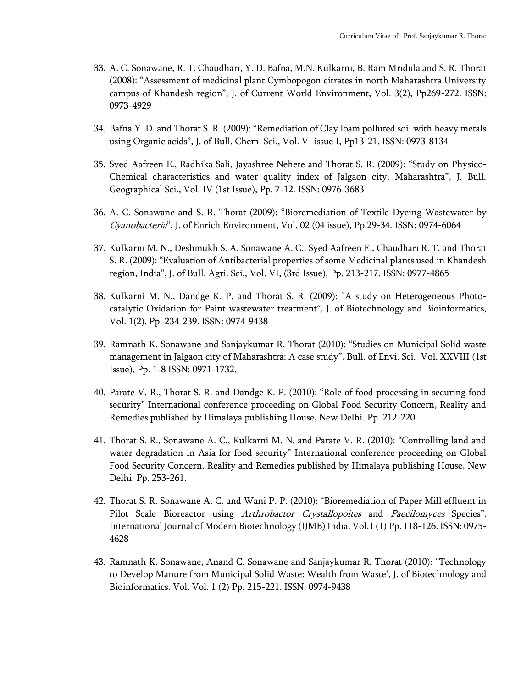- 33. A. C. Sonawane, R. T. Chaudhari, Y. D. Bafna, M.N. Kulkarni, B. Ram Mridula and S. R. Thorat (2008): "Assessment of medicinal plant Cymbopogon citrates in north Maharashtra University campus of Khandesh region", J. of Current World Environment, Vol. 3(2), Pp269-272. ISSN: 0973-4929
- 34. Bafna Y. D. and Thorat S. R. (2009): "Remediation of Clay loam polluted soil with heavy metals using Organic acids", J. of Bull. Chem. Sci., Vol. VI issue I, Pp13-21. ISSN: 0973-8134
- 35. Syed Aafreen E., Radhika Sali, Jayashree Nehete and Thorat S. R. (2009): "Study on Physico-Chemical characteristics and water quality index of Jalgaon city, Maharashtra", J. Bull. Geographical Sci., Vol. IV (1st Issue), Pp. 7-12. ISSN: 0976-3683
- 36. A. C. Sonawane and S. R. Thorat (2009): "Bioremediation of Textile Dyeing Wastewater by Cyanobacteria", J. of Enrich Environment, Vol. 02 (04 issue), Pp.29-34. ISSN: 0974-6064
- 37. Kulkarni M. N., Deshmukh S. A. Sonawane A. C., Syed Aafreen E., Chaudhari R. T. and Thorat S. R. (2009): "Evaluation of Antibacterial properties of some Medicinal plants used in Khandesh region, India", J. of Bull. Agri. Sci., Vol. VI, (3rd Issue), Pp. 213-217. ISSN: 0977-4865
- 38. Kulkarni M. N., Dandge K. P. and Thorat S. R. (2009): "A study on Heterogeneous Photocatalytic Oxidation for Paint wastewater treatment", J. of Biotechnology and Bioinformatics, Vol. 1(2), Pp. 234-239. ISSN: 0974-9438
- 39. Ramnath K. Sonawane and Sanjaykumar R. Thorat (2010): "Studies on Municipal Solid waste management in Jalgaon city of Maharashtra: A case study", Bull. of Envi. Sci. Vol. XXVIII (1st Issue), Pp. 1-8 ISSN: 0971-1732,
- 40. Parate V. R., Thorat S. R. and Dandge K. P. (2010): "Role of food processing in securing food security" International conference proceeding on Global Food Security Concern, Reality and Remedies published by Himalaya publishing House, New Delhi. Pp. 212-220.
- 41. Thorat S. R., Sonawane A. C., Kulkarni M. N. and Parate V. R. (2010): "Controlling land and water degradation in Asia for food security" International conference proceeding on Global Food Security Concern, Reality and Remedies published by Himalaya publishing House, New Delhi. Pp. 253-261.
- 42. Thorat S. R. Sonawane A. C. and Wani P. P. (2010): "Bioremediation of Paper Mill effluent in Pilot Scale Bioreactor using Arthrobactor Crystallopoites and Paecilomyces Species". International Journal of Modern Biotechnology (IJMB) India, Vol.1 (1) Pp. 118-126. ISSN: 0975- 4628
- 43. Ramnath K. Sonawane, Anand C. Sonawane and Sanjaykumar R. Thorat (2010): "Technology to Develop Manure from Municipal Solid Waste: Wealth from Waste', J. of Biotechnology and Bioinformatics. Vol. Vol. 1 (2) Pp. 215-221. ISSN: 0974-9438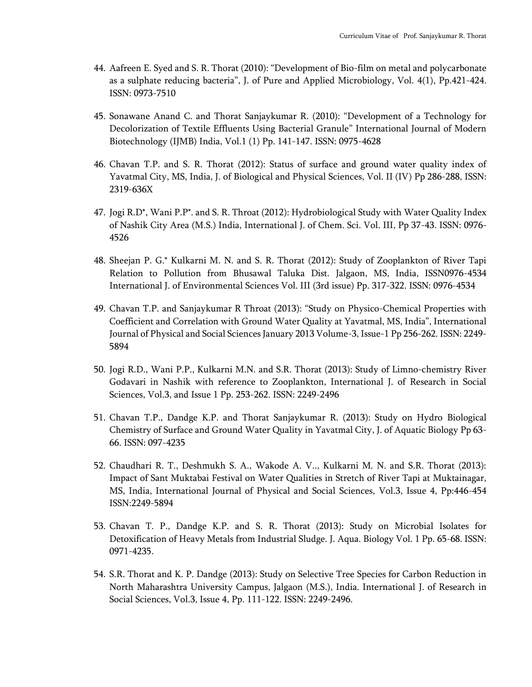- 44. Aafreen E. Syed and S. R. Thorat (2010): "Development of Bio-film on metal and polycarbonate as a sulphate reducing bacteria", J. of Pure and Applied Microbiology, Vol. 4(1), Pp.421-424. ISSN: 0973-7510
- 45. Sonawane Anand C. and Thorat Sanjaykumar R. (2010): "Development of a Technology for Decolorization of Textile Effluents Using Bacterial Granule" International Journal of Modern Biotechnology (IJMB) India, Vol.1 (1) Pp. 141-147. ISSN: 0975-4628
- 46. Chavan T.P. and S. R. Thorat (2012): Status of surface and ground water quality index of Yavatmal City, MS, India, J. of Biological and Physical Sciences, Vol. II (IV) Pp 286-288, ISSN: 2319-636X
- 47. Jogi R.D\*, Wani P.P\*. and S. R. Throat (2012): Hydrobiological Study with Water Quality Index of Nashik City Area (M.S.) India, International J. of Chem. Sci. Vol. III, Pp 37-43. ISSN: 0976- 4526
- 48. Sheejan P. G.\* Kulkarni M. N. and S. R. Thorat (2012): Study of Zooplankton of River Tapi Relation to Pollution from Bhusawal Taluka Dist. Jalgaon, MS, India, ISSN0976-4534 International J. of Environmental Sciences Vol. III (3rd issue) Pp. 317-322. ISSN: 0976-4534
- 49. Chavan T.P. and Sanjaykumar R Throat (2013): "Study on Physico-Chemical Properties with Coefficient and Correlation with Ground Water Quality at Yavatmal, MS, India", International Journal of Physical and Social Sciences January 2013 Volume-3, Issue-1 Pp 256-262. ISSN: 2249- 5894
- 50. Jogi R.D., Wani P.P., Kulkarni M.N. and S.R. Thorat (2013): Study of Limno-chemistry River Godavari in Nashik with reference to Zooplankton, International J. of Research in Social Sciences, Vol.3, and Issue 1 Pp. 253-262. ISSN: 2249-2496
- 51. Chavan T.P., Dandge K.P. and Thorat Sanjaykumar R. (2013): Study on Hydro Biological Chemistry of Surface and Ground Water Quality in Yavatmal City, J. of Aquatic Biology Pp 63- 66. ISSN: 097-4235
- 52. Chaudhari R. T., Deshmukh S. A., Wakode A. V.., Kulkarni M. N. and S.R. Thorat (2013): Impact of Sant Muktabai Festival on Water Qualities in Stretch of River Tapi at Muktainagar, MS, India, International Journal of Physical and Social Sciences, Vol.3, Issue 4, Pp:446-454 ISSN:2249-5894
- 53. Chavan T. P., Dandge K.P. and S. R. Thorat (2013): Study on Microbial Isolates for Detoxification of Heavy Metals from Industrial Sludge. J. Aqua. Biology Vol. 1 Pp. 65-68. ISSN: 0971-4235.
- 54. S.R. Thorat and K. P. Dandge (2013): Study on Selective Tree Species for Carbon Reduction in North Maharashtra University Campus, Jalgaon (M.S.), India. International J. of Research in Social Sciences, Vol.3, Issue 4, Pp. 111-122. ISSN: 2249-2496.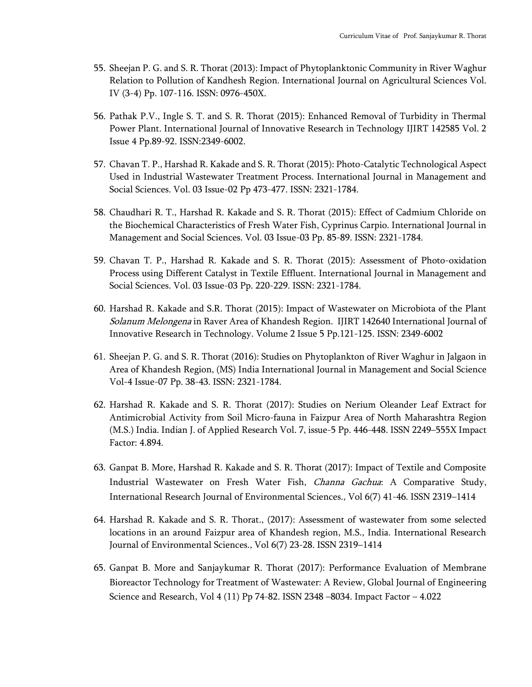- 55. Sheejan P. G. and S. R. Thorat (2013): Impact of Phytoplanktonic Community in River Waghur Relation to Pollution of Kandhesh Region. International Journal on Agricultural Sciences Vol. IV (3-4) Pp. 107-116. ISSN: 0976-450X.
- 56. Pathak P.V., Ingle S. T. and S. R. Thorat (2015): Enhanced Removal of Turbidity in Thermal Power Plant. International Journal of Innovative Research in Technology IJIRT 142585 Vol. 2 Issue 4 Pp.89-92. ISSN:2349-6002.
- 57. Chavan T. P., Harshad R. Kakade and S. R. Thorat (2015): Photo-Catalytic Technological Aspect Used in Industrial Wastewater Treatment Process. International Journal in Management and Social Sciences. Vol. 03 Issue-02 Pp 473-477. ISSN: 2321-1784.
- 58. Chaudhari R. T., Harshad R. Kakade and S. R. Thorat (2015): Effect of Cadmium Chloride on the Biochemical Characteristics of Fresh Water Fish, Cyprinus Carpio. International Journal in Management and Social Sciences. Vol. 03 Issue-03 Pp. 85-89. ISSN: 2321-1784.
- 59. Chavan T. P., Harshad R. Kakade and S. R. Thorat (2015): Assessment of Photo-oxidation Process using Different Catalyst in Textile Effluent. International Journal in Management and Social Sciences. Vol. 03 Issue-03 Pp. 220-229. ISSN: 2321-1784.
- 60. Harshad R. Kakade and S.R. Thorat (2015): Impact of Wastewater on Microbiota of the Plant Solanum Melongena in Raver Area of Khandesh Region. IJIRT 142640 International Journal of Innovative Research in Technology. Volume 2 Issue 5 Pp.121-125. ISSN: 2349-6002
- 61. Sheejan P. G. and S. R. Thorat (2016): Studies on Phytoplankton of River Waghur in Jalgaon in Area of Khandesh Region, (MS) India International Journal in Management and Social Science Vol-4 Issue-07 Pp. 38-43. ISSN: 2321-1784.
- 62. Harshad R. Kakade and S. R. Thorat (2017): Studies on Nerium Oleander Leaf Extract for Antimicrobial Activity from Soil Micro-fauna in Faizpur Area of North Maharashtra Region (M.S.) India. Indian J. of Applied Research Vol. 7, issue-5 Pp. 446-448. ISSN 2249–555X Impact Factor: 4.894.
- 63. Ganpat B. More, Harshad R. Kakade and S. R. Thorat (2017): Impact of Textile and Composite Industrial Wastewater on Fresh Water Fish, Channa Gachua: A Comparative Study, International Research Journal of Environmental Sciences., Vol 6(7) 41-46. ISSN 2319–1414
- 64. Harshad R. Kakade and S. R. Thorat., (2017): Assessment of wastewater from some selected locations in an around Faizpur area of Khandesh region, M.S., India. International Research Journal of Environmental Sciences., Vol 6(7) 23-28. ISSN 2319–1414
- 65. Ganpat B. More and Sanjaykumar R. Thorat (2017): Performance Evaluation of Membrane Bioreactor Technology for Treatment of Wastewater: A Review, Global Journal of Engineering Science and Research, Vol 4 (11) Pp 74-82. ISSN 2348 –8034. Impact Factor – 4.022